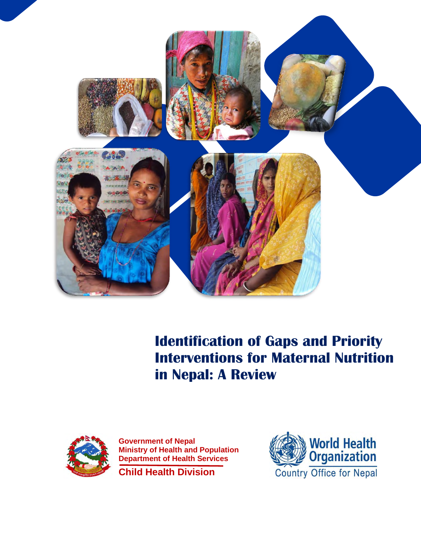

**Identification of Gaps and Priority Interventions for Maternal Nutrition in Nepal: A Review**



**Government of Nepal Ministry of Health and Population Department of Health Services**

**Child Health Division**

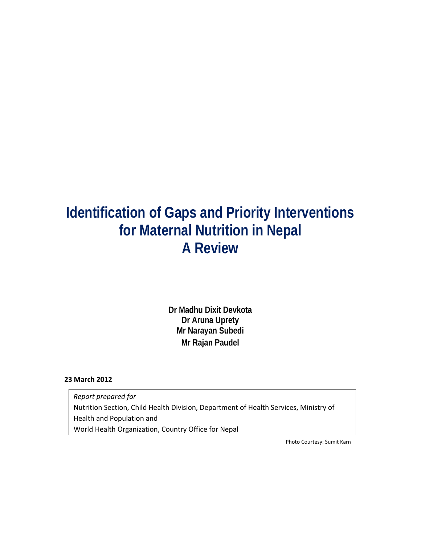# **Identification of Gaps and Priority Interventions for Maternal Nutrition in Nepal A Review**

**Dr Madhu Dixit Devkota Dr Aruna Uprety Mr Narayan Subedi Mr Rajan Paudel**

### **23 March 2012**

*Report prepared for*  Nutrition Section, Child Health Division, Department of Health Services, Ministry of Health and Population and World Health Organization, Country Office for Nepal

Photo Courtesy: Sumit Karn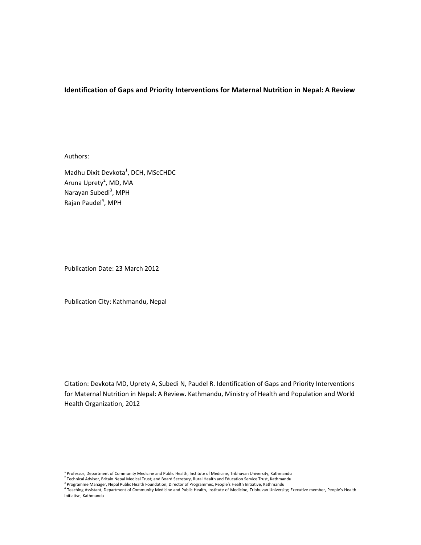# **Identification of Gaps and Priority Interventions for Maternal Nutrition in Nepal: A Review**

Authors:

Madhu Dixit Devkota<sup>1</sup>, DCH, MScCHDC Aruna Uprety<sup>2</sup>, MD, MA Narayan Subedi<sup>3</sup>, MPH Rajan Paudel<sup>4</sup>, MPH

Publication Date: 23 March 2012

Publication City: Kathmandu, Nepal

Citation: Devkota MD, Uprety A, Subedi N, Paudel R. Identification of Gaps and Priority Interventions for Maternal Nutrition in Nepal: A Review. Kathmandu, Ministry of Health and Population and World Health Organization, 2012

 $^1$  Professor, Department of Community Medicine and Public Health, Institute of Medicine, Tribhuvan University, Kathmandu

Trocusor, Peperament on Schmann, The Transition of Peperator, Rural Health and Education Service Trust, Kathmandu<br><sup>3</sup> Programme Manager, Nepal Public Health Foundation; Director of Programmes, People's Health Initiative, K

Initiative, Kathmandu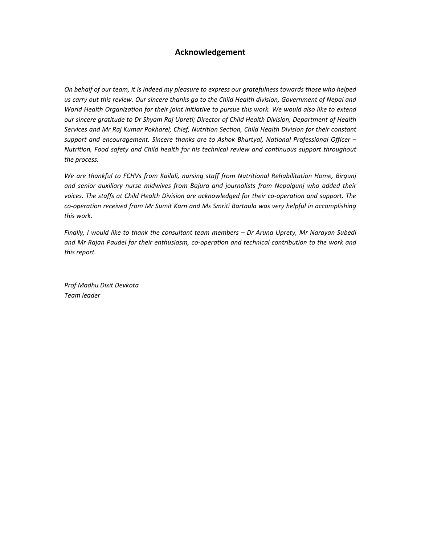# **Acknowledgement**

On behalf of our team, it is indeed my pleasure to express our gratefulness towards those who helped us carry out this review. Our sincere thanks go to the Child Health division, Government of Nepal and *World Health Organization for their joint initiative to pursue this work. We would also like to extend our sincere gratitude to Dr Shyam Raj Upreti; Director of Child Health Division, Department of Health Services and Mr Raj Kumar Pokharel; Chief, Nutrition Section, Child Health Division for their constant support and encouragement. Sincere thanks are to Ashok Bhurtyal, National Professional Officer – Nutrition, Food safety and Child health for his technical review and continuous support throughout the process.* 

*We are thankful to FCHVs from Kailali, nursing staff from Nutritional Rehabilitation Home, Birgunj and senior auxiliary nurse midwives from Bajura and journalists from Nepalgunj who added their voices. The staffs at Child Health Division are acknowledged for their co‐operation and support. The co‐operation received from Mr Sumit Karn and Ms Smriti Bartaula was very helpful in accomplishing this work.* 

*Finally, I would like to thank the consultant team members – Dr Aruna Uprety, Mr Narayan Subedi and Mr Rajan Paudel for their enthusiasm, co‐operation and technical contribution to the work and this report.* 

*Prof Madhu Dixit Devkota Team leader*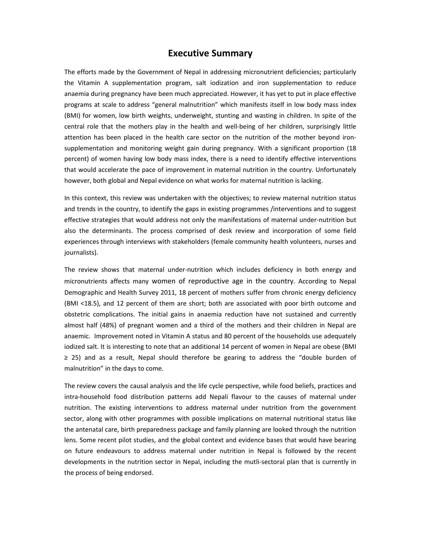# **Executive Summary**

The efforts made by the Government of Nepal in addressing micronutrient deficiencies; particularly the Vitamin A supplementation program, salt iodization and iron supplementation to reduce anaemia during pregnancy have been much appreciated. However, it has yet to put in place effective programs at scale to address "general malnutrition" which manifests itself in low body mass index (BMI) for women, low birth weights, underweight, stunting and wasting in children. In spite of the central role that the mothers play in the health and well-being of her children, surprisingly little attention has been placed in the health care sector on the nutrition of the mother beyond ironsupplementation and monitoring weight gain during pregnancy. With a significant proportion (18 percent) of women having low body mass index, there is a need to identify effective interventions that would accelerate the pace of improvement in maternal nutrition in the country. Unfortunately however, both global and Nepal evidence on what works for maternal nutrition is lacking.

In this context, this review was undertaken with the objectives; to review maternal nutrition status and trends in the country, to identify the gaps in existing programmes /interventions and to suggest effective strategies that would address not only the manifestations of maternal under‐nutrition but also the determinants. The process comprised of desk review and incorporation of some field experiences through interviews with stakeholders (female community health volunteers, nurses and journalists).

The review shows that maternal under-nutrition which includes deficiency in both energy and micronutrients affects many women of reproductive age in the country. According to Nepal Demographic and Health Survey 2011, 18 percent of mothers suffer from chronic energy deficiency (BMI <18.5), and 12 percent of them are short; both are associated with poor birth outcome and obstetric complications. The initial gains in anaemia reduction have not sustained and currently almost half (48%) of pregnant women and a third of the mothers and their children in Nepal are anaemic. Improvement noted in Vitamin A status and 80 percent of the households use adequately iodized salt. It is interesting to note that an additional 14 percent of women in Nepal are obese (BMI ≥ 25) and as a result, Nepal should therefore be gearing to address the "double burden of malnutrition" in the days to come.

The review covers the causal analysis and the life cycle perspective, while food beliefs, practices and intra‐household food distribution patterns add Nepali flavour to the causes of maternal under nutrition. The existing interventions to address maternal under nutrition from the government sector, along with other programmes with possible implications on maternal nutritional status like the antenatal care, birth preparedness package and family planning are looked through the nutrition lens. Some recent pilot studies, and the global context and evidence bases that would have bearing on future endeavours to address maternal under nutrition in Nepal is followed by the recent developments in the nutrition sector in Nepal, including the mutli‐sectoral plan that is currently in the process of being endorsed.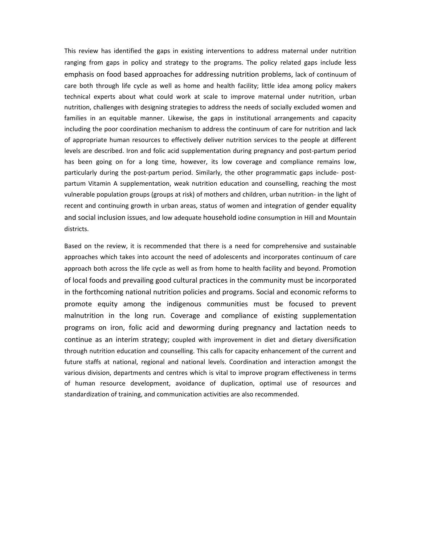This review has identified the gaps in existing interventions to address maternal under nutrition ranging from gaps in policy and strategy to the programs. The policy related gaps include less emphasis on food based approaches for addressing nutrition problems, lack of continuum of care both through life cycle as well as home and health facility; little idea among policy makers technical experts about what could work at scale to improve maternal under nutrition, urban nutrition, challenges with designing strategies to address the needs of socially excluded women and families in an equitable manner. Likewise, the gaps in institutional arrangements and capacity including the poor coordination mechanism to address the continuum of care for nutrition and lack of appropriate human resources to effectively deliver nutrition services to the people at different levels are described. Iron and folic acid supplementation during pregnancy and post‐partum period has been going on for a long time, however, its low coverage and compliance remains low, particularly during the post-partum period. Similarly, the other programmatic gaps include- postpartum Vitamin A supplementation, weak nutrition education and counselling, reaching the most vulnerable population groups (groups at risk) of mothers and children, urban nutrition‐ in the light of recent and continuing growth in urban areas, status of women and integration of gender equality and social inclusion issues, and low adequate household iodine consumption in Hill and Mountain districts.

Based on the review, it is recommended that there is a need for comprehensive and sustainable approaches which takes into account the need of adolescents and incorporates continuum of care approach both across the life cycle as well as from home to health facility and beyond. Promotion of local foods and prevailing good cultural practices in the community must be incorporated in the forthcoming national nutrition policies and programs. Social and economic reforms to promote equity among the indigenous communities must be focused to prevent malnutrition in the long run. Coverage and compliance of existing supplementation programs on iron, folic acid and deworming during pregnancy and lactation needs to continue as an interim strategy; coupled with improvement in diet and dietary diversification through nutrition education and counselling. This calls for capacity enhancement of the current and future staffs at national, regional and national levels. Coordination and interaction amongst the various division, departments and centres which is vital to improve program effectiveness in terms of human resource development, avoidance of duplication, optimal use of resources and standardization of training, and communication activities are also recommended.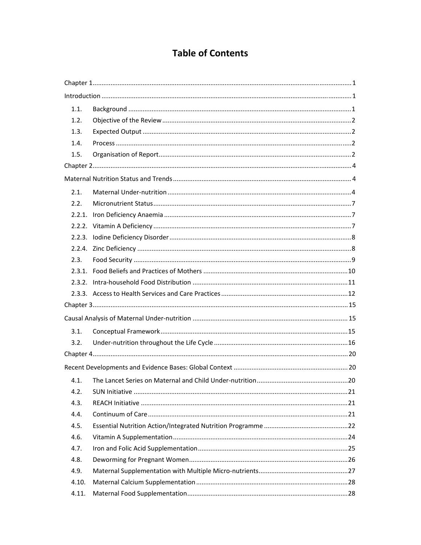# **Table of Contents**

| 1.1.  |  |
|-------|--|
| 1.2.  |  |
| 1.3.  |  |
| 1.4.  |  |
| 1.5.  |  |
|       |  |
|       |  |
| 2.1.  |  |
| 2.2.  |  |
|       |  |
|       |  |
|       |  |
|       |  |
| 2.3.  |  |
|       |  |
|       |  |
|       |  |
|       |  |
|       |  |
| 3.1.  |  |
| 3.2.  |  |
|       |  |
|       |  |
| 4.1.  |  |
| 4.2.  |  |
| 4.3.  |  |
| 4.4.  |  |
| 4.5.  |  |
| 4.6.  |  |
| 4.7.  |  |
| 4.8.  |  |
| 4.9.  |  |
| 4.10. |  |
| 4.11. |  |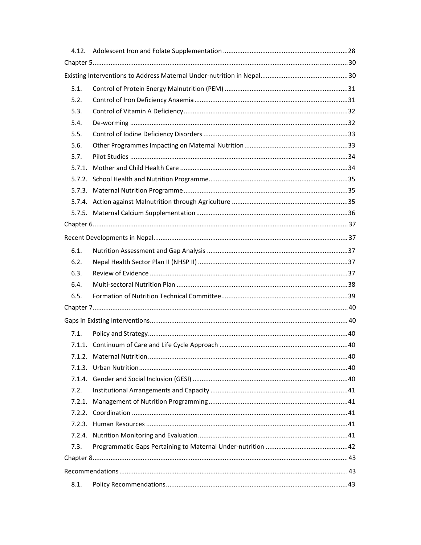| 5.1.   |  |  |  |
|--------|--|--|--|
| 5.2.   |  |  |  |
| 5.3.   |  |  |  |
| 5.4.   |  |  |  |
| 5.5.   |  |  |  |
| 5.6.   |  |  |  |
| 5.7.   |  |  |  |
| 5.7.1. |  |  |  |
|        |  |  |  |
|        |  |  |  |
|        |  |  |  |
|        |  |  |  |
|        |  |  |  |
|        |  |  |  |
| 6.1.   |  |  |  |
| 6.2.   |  |  |  |
| 6.3.   |  |  |  |
| 6.4.   |  |  |  |
| 6.5.   |  |  |  |
|        |  |  |  |
|        |  |  |  |
| 7.1.   |  |  |  |
|        |  |  |  |
|        |  |  |  |
| 7.1.3. |  |  |  |
| 7.1.4. |  |  |  |
| 7.2.   |  |  |  |
| 7.2.1. |  |  |  |
|        |  |  |  |
| 7.2.3. |  |  |  |
| 7.2.4. |  |  |  |
| 7.3.   |  |  |  |
|        |  |  |  |
|        |  |  |  |
| 8.1.   |  |  |  |
|        |  |  |  |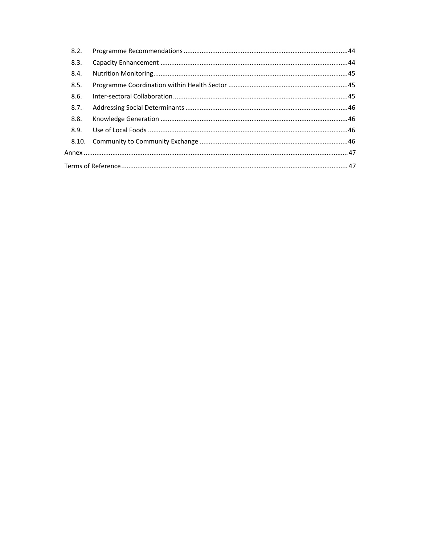| 8.2. |  |  |
|------|--|--|
| 8.3. |  |  |
| 8.4. |  |  |
| 8.5. |  |  |
| 8.6. |  |  |
| 8.7. |  |  |
| 8.8. |  |  |
| 8.9. |  |  |
|      |  |  |
|      |  |  |
|      |  |  |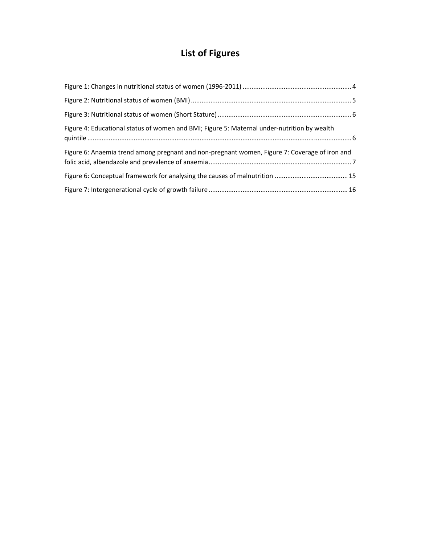# **List of Figures**

| Figure 4: Educational status of women and BMI; Figure 5: Maternal under-nutrition by wealth   |  |
|-----------------------------------------------------------------------------------------------|--|
| Figure 6: Anaemia trend among pregnant and non-pregnant women, Figure 7: Coverage of iron and |  |
|                                                                                               |  |
|                                                                                               |  |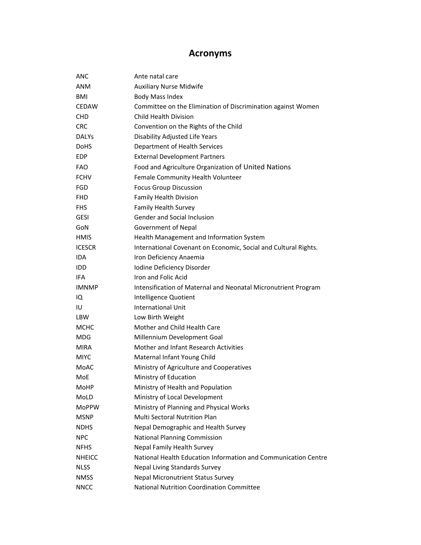# **Acronyms**

| <b>ANC</b>    | Ante natal care                                                 |
|---------------|-----------------------------------------------------------------|
| <b>ANM</b>    | <b>Auxiliary Nurse Midwife</b>                                  |
| <b>BMI</b>    | <b>Body Mass Index</b>                                          |
| <b>CEDAW</b>  | Committee on the Elimination of Discrimination against Women    |
| <b>CHD</b>    | <b>Child Health Division</b>                                    |
| <b>CRC</b>    | Convention on the Rights of the Child                           |
| <b>DALYS</b>  | Disability Adjusted Life Years                                  |
| <b>DoHS</b>   | Department of Health Services                                   |
| EDP           | <b>External Development Partners</b>                            |
| <b>FAO</b>    | Food and Agriculture Organization of United Nations             |
| <b>FCHV</b>   | Female Community Health Volunteer                               |
| <b>FGD</b>    | <b>Focus Group Discussion</b>                                   |
| <b>FHD</b>    | <b>Family Health Division</b>                                   |
| <b>FHS</b>    | Family Health Survey                                            |
| <b>GESI</b>   | Gender and Social Inclusion                                     |
| GoN           | Government of Nepal                                             |
| HMIS          | Health Management and Information System                        |
| <b>ICESCR</b> | International Covenant on Economic, Social and Cultural Rights. |
| <b>IDA</b>    | Iron Deficiency Anaemia                                         |
| IDD           | Iodine Deficiency Disorder                                      |
| <b>IFA</b>    | Iron and Folic Acid                                             |
| <b>IMNMP</b>  | Intensification of Maternal and Neonatal Micronutrient Program  |
| IQ            | Intelligence Quotient                                           |
| IU            | <b>International Unit</b>                                       |
| <b>LBW</b>    | Low Birth Weight                                                |
| <b>MCHC</b>   | Mother and Child Health Care                                    |
| <b>MDG</b>    | Millennium Development Goal                                     |
| <b>MIRA</b>   | Mother and Infant Research Activities                           |
| <b>MIYC</b>   | Maternal Infant Young Child                                     |
| MoAC          | Ministry of Agriculture and Cooperatives                        |
| MoE           | Ministry of Education                                           |
| MoHP          | Ministry of Health and Population                               |
| MoLD          | Ministry of Local Development                                   |
| <b>MoPPW</b>  | Ministry of Planning and Physical Works                         |
| <b>MSNP</b>   | <b>Multi Sectoral Nutrition Plan</b>                            |
| <b>NDHS</b>   | Nepal Demographic and Health Survey                             |
| <b>NPC</b>    | <b>National Planning Commission</b>                             |
| <b>NFHS</b>   | Nepal Family Health Survey                                      |
| <b>NHEICC</b> | National Health Education Information and Communication Centre  |
| <b>NLSS</b>   | Nepal Living Standards Survey                                   |
| <b>NMSS</b>   | <b>Nepal Micronutrient Status Survey</b>                        |
| <b>NNCC</b>   | National Nutrition Coordination Committee                       |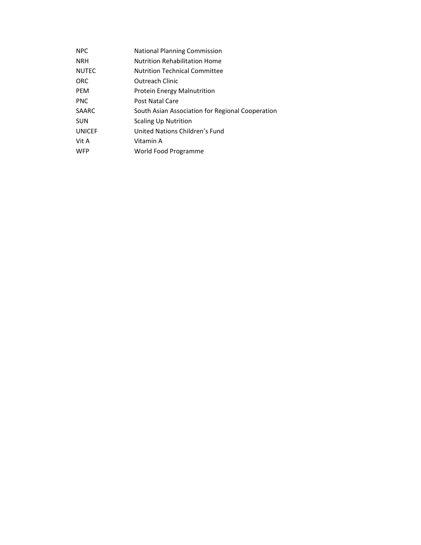| <b>NPC</b>    | <b>National Planning Commission</b>              |
|---------------|--------------------------------------------------|
| <b>NRH</b>    | Nutrition Rehabilitation Home                    |
| <b>NUTEC</b>  | <b>Nutrition Technical Committee</b>             |
| <b>ORC</b>    | Outreach Clinic                                  |
| <b>PEM</b>    | Protein Energy Malnutrition                      |
| <b>PNC</b>    | Post Natal Care                                  |
| <b>SAARC</b>  | South Asian Association for Regional Cooperation |
| <b>SUN</b>    | <b>Scaling Up Nutrition</b>                      |
| <b>UNICEF</b> | United Nations Children's Fund                   |
| Vit A         | Vitamin A                                        |
| <b>WFP</b>    | World Food Programme                             |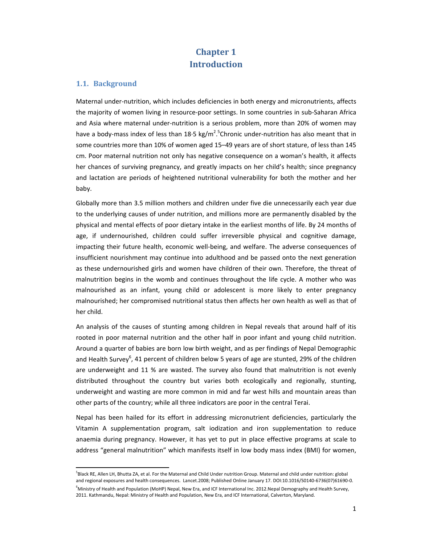# **Chapter 1 Introduction**

# **1.1. Background**

Maternal under‐nutrition, which includes deficiencies in both energy and micronutrients, affects the majority of women living in resource‐poor settings. In some countries in sub‐Saharan Africa and Asia where maternal under‐nutrition is a serious problem, more than 20% of women may have a body-mass index of less than 18⋅5 kg/m<sup>2</sup>.<sup>5</sup>Chronic under-nutrition has also meant that in some countries more than 10% of women aged 15–49 years are of short stature, of less than 145 cm. Poor maternal nutrition not only has negative consequence on a woman's health, it affects her chances of surviving pregnancy, and greatly impacts on her child's health; since pregnancy and lactation are periods of heightened nutritional vulnerability for both the mother and her baby.

Globally more than 3.5 million mothers and children under five die unnecessarily each year due to the underlying causes of under nutrition, and millions more are permanently disabled by the physical and mental effects of poor dietary intake in the earliest months of life. By 24 months of age, if undernourished, children could suffer irreversible physical and cognitive damage, impacting their future health, economic well‐being, and welfare. The adverse consequences of insufficient nourishment may continue into adulthood and be passed onto the next generation as these undernourished girls and women have children of their own. Therefore, the threat of malnutrition begins in the womb and continues throughout the life cycle. A mother who was malnourished as an infant, young child or adolescent is more likely to enter pregnancy malnourished; her compromised nutritional status then affects her own health as well as that of her child.

An analysis of the causes of stunting among children in Nepal reveals that around half of itis rooted in poor maternal nutrition and the other half in poor infant and young child nutrition. Around a quarter of babies are born low birth weight, and as per findings of Nepal Demographic and Health Survey<sup>6</sup>, 41 percent of children below 5 years of age are stunted, 29% of the children are underweight and 11 % are wasted. The survey also found that malnutrition is not evenly distributed throughout the country but varies both ecologically and regionally, stunting, underweight and wasting are more common in mid and far west hills and mountain areas than other parts of the country; while all three indicators are poor in the central Terai.

Nepal has been hailed for its effort in addressing micronutrient deficiencies, particularly the Vitamin A supplementation program, salt iodization and iron supplementation to reduce anaemia during pregnancy. However, it has yet to put in place effective programs at scale to address "general malnutrition" which manifests itself in low body mass index (BMI) for women,

<sup>&</sup>lt;sup>5</sup>Black RE, Allen LH, Bhutta ZA, et al. For the Maternal and Child Under nutrition Group. Maternal and child under nutrition: global and regional exposures and health consequences. Lancet.2008; Published Online January 17. DOI:10.1016/S0140‐6736(07)61690‐0.

<sup>&</sup>lt;sup>6</sup>Ministry of Health and Population (MoHP) Nepal, New Era, and ICF International Inc. 2012.Nepal Demography and Health Survey, 2011. Kathmandu, Nepal: Ministry of Health and Population, New Era, and ICF International, Calverton, Maryland.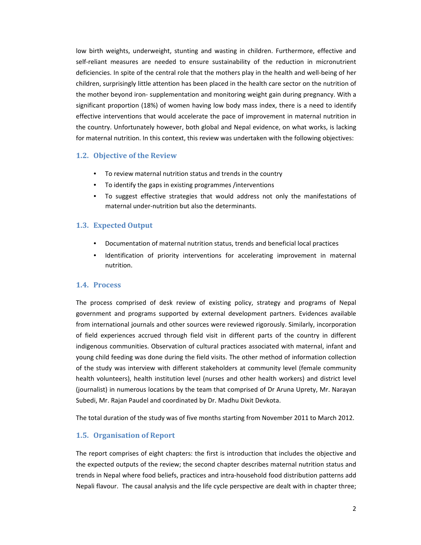low birth weights, underweight, stunting and wasting in children. Furthermore, effective and self-reliant measures are needed to ensure sustainability of the reduction in micronutrient deficiencies. In spite of the central role that the mothers play in the health and well‐being of her children, surprisingly little attention has been placed in the health care sector on the nutrition of the mother beyond iron‐ supplementation and monitoring weight gain during pregnancy. With a significant proportion (18%) of women having low body mass index, there is a need to identify effective interventions that would accelerate the pace of improvement in maternal nutrition in the country. Unfortunately however, both global and Nepal evidence, on what works, is lacking for maternal nutrition. In this context, this review was undertaken with the following objectives:

# **1.2. Objective of the Review**

- To review maternal nutrition status and trends in the country
- To identify the gaps in existing programmes /interventions
- To suggest effective strategies that would address not only the manifestations of maternal under‐nutrition but also the determinants.

# **1.3. Expected Output**

- Documentation of maternal nutrition status, trends and beneficial local practices
- Identification of priority interventions for accelerating improvement in maternal nutrition.

#### **1.4. Process**

The process comprised of desk review of existing policy, strategy and programs of Nepal government and programs supported by external development partners. Evidences available from international journals and other sources were reviewed rigorously. Similarly, incorporation of field experiences accrued through field visit in different parts of the country in different indigenous communities. Observation of cultural practices associated with maternal, infant and young child feeding was done during the field visits. The other method of information collection of the study was interview with different stakeholders at community level (female community health volunteers), health institution level (nurses and other health workers) and district level (journalist) in numerous locations by the team that comprised of Dr Aruna Uprety, Mr. Narayan Subedi, Mr. Rajan Paudel and coordinated by Dr. Madhu Dixit Devkota.

The total duration of the study was of five months starting from November 2011 to March 2012.

# **1.5. Organisation of Report**

The report comprises of eight chapters: the first is introduction that includes the objective and the expected outputs of the review; the second chapter describes maternal nutrition status and trends in Nepal where food beliefs, practices and intra‐household food distribution patterns add Nepali flavour. The causal analysis and the life cycle perspective are dealt with in chapter three;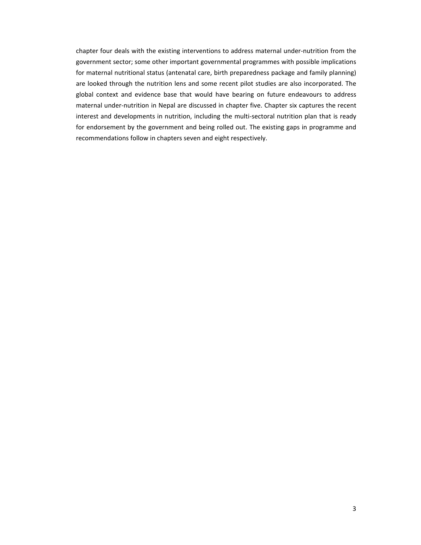chapter four deals with the existing interventions to address maternal under‐nutrition from the government sector; some other important governmental programmes with possible implications for maternal nutritional status (antenatal care, birth preparedness package and family planning) are looked through the nutrition lens and some recent pilot studies are also incorporated. The global context and evidence base that would have bearing on future endeavours to address maternal under‐nutrition in Nepal are discussed in chapter five. Chapter six captures the recent interest and developments in nutrition, including the multi-sectoral nutrition plan that is ready for endorsement by the government and being rolled out. The existing gaps in programme and recommendations follow in chapters seven and eight respectively.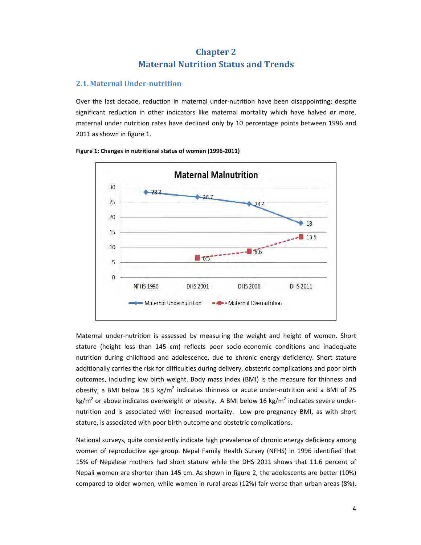# **Chapter 2 Maternal Nutrition Status and Trends**

# **2.1. Maternal Under‐nutrition**

Over the last decade, reduction in maternal under‐nutrition have been disappointing; despite significant reduction in other indicators like maternal mortality which have halved or more, maternal under nutrition rates have declined only by 10 percentage points between 1996 and 2011 as shown in figure 1.



# **Figure 1: Changes in nutritional status of women (1996‐2011)**

Maternal under-nutrition is assessed by measuring the weight and height of women. Short stature (height less than 145 cm) reflects poor socio-economic conditions and inadequate nutrition during childhood and adolescence, due to chronic energy deficiency. Short stature additionally carries the risk for difficulties during delivery, obstetric complications and poor birth outcomes, including low birth weight. Body mass index (BMI) is the measure for thinness and obesity; a BMI below 18.5 kg/m<sup>2</sup> indicates thinness or acute under-nutrition and a BMI of 25 kg/m<sup>2</sup> or above indicates overweight or obesity. A BMI below 16 kg/m<sup>2</sup> indicates severe undernutrition and is associated with increased mortality. Low pre-pregnancy BMI, as with short stature, is associated with poor birth outcome and obstetric complications.

National surveys, quite consistently indicate high prevalence of chronic energy deficiency among women of reproductive age group. Nepal Family Health Survey (NFHS) in 1996 identified that 15% of Nepalese mothers had short stature while the DHS 2011 shows that 11.6 percent of Nepali women are shorter than 145 cm. As shown in figure 2, the adolescents are better (10%) compared to older women, while women in rural areas (12%) fair worse than urban areas (8%).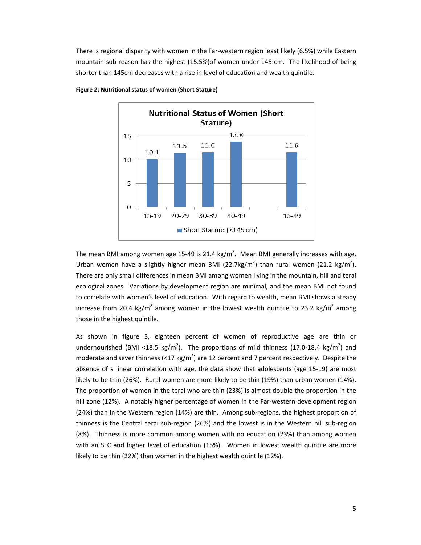There is regional disparity with women in the Far‐western region least likely (6.5%) while Eastern mountain sub reason has the highest (15.5%)of women under 145 cm. The likelihood of being shorter than 145cm decreases with a rise in level of education and wealth quintile.



**Figure 2: Nutritional status of women (Short Stature)**

The mean BMI among women age 15-49 is 21.4 kg/m<sup>2</sup>. Mean BMI generally increases with age. Urban women have a slightly higher mean BMI (22.7kg/m<sup>2</sup>) than rural women (21.2 kg/m<sup>2</sup>). There are only small differences in mean BMI among women living in the mountain, hill and terai ecological zones. Variations by development region are minimal, and the mean BMI not found to correlate with women's level of education. With regard to wealth, mean BMI shows a steady increase from 20.4 kg/m<sup>2</sup> among women in the lowest wealth quintile to 23.2 kg/m<sup>2</sup> among those in the highest quintile.

As shown in figure 3, eighteen percent of women of reproductive age are thin or undernourished (BMI <18.5 kg/m<sup>2</sup>). The proportions of mild thinness (17.0-18.4 kg/m<sup>2</sup>) and moderate and sever thinness (<17 kg/m<sup>2</sup>) are 12 percent and 7 percent respectively. Despite the absence of a linear correlation with age, the data show that adolescents (age 15‐19) are most likely to be thin (26%). Rural women are more likely to be thin (19%) than urban women (14%). The proportion of women in the terai who are thin (23%) is almost double the proportion in the hill zone (12%). A notably higher percentage of women in the Far-western development region (24%) than in the Western region (14%) are thin. Among sub-regions, the highest proportion of thinness is the Central terai sub‐region (26%) and the lowest is in the Western hill sub‐region (8%). Thinness is more common among women with no education (23%) than among women with an SLC and higher level of education (15%). Women in lowest wealth quintile are more likely to be thin (22%) than women in the highest wealth quintile (12%).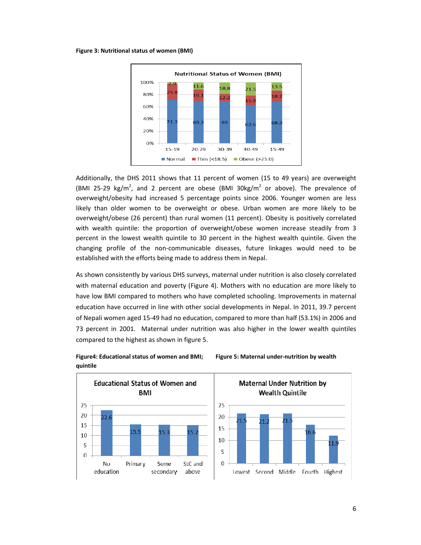#### **Figure 3: Nutritional status of women (BMI)**



Additionally, the DHS 2011 shows that 11 percent of women (15 to 49 years) are overweight (BMI 25-29 kg/m<sup>2</sup>, and 2 percent are obese (BMI 30kg/m<sup>2</sup> or above). The prevalence of overweight/obesity had increased 5 percentage points since 2006. Younger women are less likely than older women to be overweight or obese. Urban women are more likely to be overweight/obese (26 percent) than rural women (11 percent). Obesity is positively correlated with wealth quintile: the proportion of overweight/obese women increase steadily from 3 percent in the lowest wealth quintile to 30 percent in the highest wealth quintile. Given the changing profile of the non‐communicable diseases, future linkages would need to be established with the efforts being made to address them in Nepal.

As shown consistently by various DHS surveys, maternal under nutrition is also closely correlated with maternal education and poverty (Figure 4). Mothers with no education are more likely to have low BMI compared to mothers who have completed schooling. Improvements in maternal education have occurred in line with other social developments in Nepal. In 2011, 39.7 percent of Nepali women aged 15‐49 had no education, compared to more than half (53.1%) in 2006 and 73 percent in 2001. Maternal under nutrition was also higher in the lower wealth quintiles compared to the highest as shown in figure 5.



# **Figure4: Educational status of women and BMI; Figure 5: Maternal under‐nutrition by wealth quintile**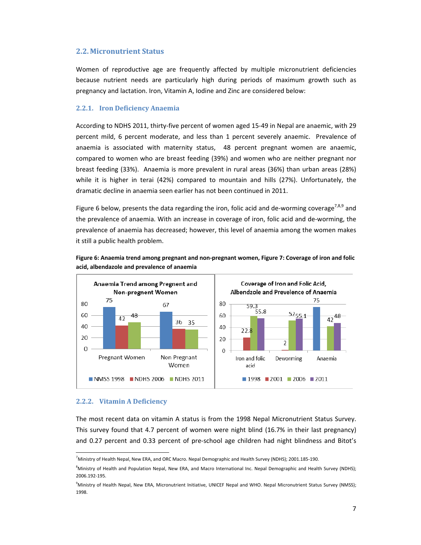#### **2.2. Micronutrient Status**

Women of reproductive age are frequently affected by multiple micronutrient deficiencies because nutrient needs are particularly high during periods of maximum growth such as pregnancy and lactation. Iron, Vitamin A, Iodine and Zinc are considered below:

#### **2.2.1. Iron Deficiency Anaemia**

According to NDHS 2011, thirty‐five percent of women aged 15‐49 in Nepal are anaemic, with 29 percent mild, 6 percent moderate, and less than 1 percent severely anaemic. Prevalence of anaemia is associated with maternity status, 48 percent pregnant women are anaemic, compared to women who are breast feeding (39%) and women who are neither pregnant nor breast feeding (33%). Anaemia is more prevalent in rural areas (36%) than urban areas (28%) while it is higher in terai (42%) compared to mountain and hills (27%). Unfortunately, the dramatic decline in anaemia seen earlier has not been continued in 2011.

Figure 6 below, presents the data regarding the iron, folic acid and de-worming coverage<sup>7,8,9</sup> and the prevalence of anaemia. With an increase in coverage of iron, folic acid and de‐worming, the prevalence of anaemia has decreased; however, this level of anaemia among the women makes it still a public health problem.





#### **2.2.2. Vitamin A Deficiency**

The most recent data on vitamin A status is from the 1998 Nepal Micronutrient Status Survey. This survey found that 4.7 percent of women were night blind (16.7% in their last pregnancy) and 0.27 percent and 0.33 percent of pre-school age children had night blindness and Bitot's

<sup>&</sup>lt;sup>7</sup> Ministry of Health Nepal, New ERA, and ORC Macro. Nepal Demographic and Health Survey (NDHS); 2001.185-190.

<sup>&</sup>lt;sup>8</sup>Ministry of Health and Population Nepal, New ERA, and Macro International Inc. Nepal Demographic and Health Survey (NDHS); 2006.192‐195.

<sup>9</sup> Ministry of Health Nepal, New ERA, Micronutrient Initiative, UNICEF Nepal and WHO. Nepal Micronutrient Status Survey (NMSS); 1998.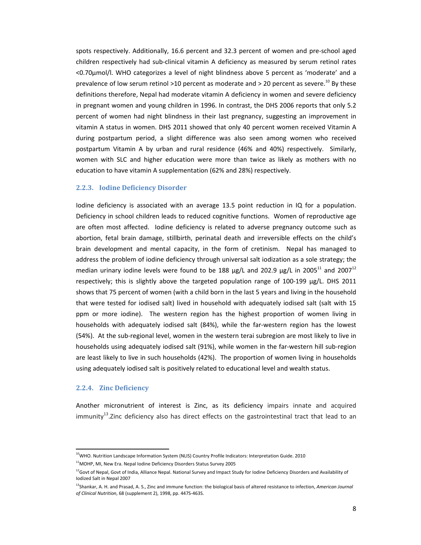spots respectively. Additionally, 16.6 percent and 32.3 percent of women and pre‐school aged children respectively had sub‐clinical vitamin A deficiency as measured by serum retinol rates <0.70μmol/l. WHO categorizes a level of night blindness above 5 percent as 'moderate' and a prevalence of low serum retinol >10 percent as moderate and > 20 percent as severe.<sup>10</sup> By these definitions therefore, Nepal had moderate vitamin A deficiency in women and severe deficiency in pregnant women and young children in 1996. In contrast, the DHS 2006 reports that only 5.2 percent of women had night blindness in their last pregnancy, suggesting an improvement in vitamin A status in women. DHS 2011 showed that only 40 percent women received Vitamin A during postpartum period, a slight difference was also seen among women who received postpartum Vitamin A by urban and rural residence (46% and 40%) respectively. Similarly, women with SLC and higher education were more than twice as likely as mothers with no education to have vitamin A supplementation (62% and 28%) respectively.

#### **2.2.3. Iodine Deficiency Disorder**

Iodine deficiency is associated with an average 13.5 point reduction in IQ for a population. Deficiency in school children leads to reduced cognitive functions. Women of reproductive age are often most affected. Iodine deficiency is related to adverse pregnancy outcome such as abortion, fetal brain damage, stillbirth, perinatal death and irreversible effects on the child's brain development and mental capacity, in the form of cretinism. Nepal has managed to address the problem of iodine deficiency through universal salt iodization as a sole strategy; the median urinary iodine levels were found to be 188  $\mu$ g/L and 202.9  $\mu$ g/L in 2005<sup>11</sup> and 2007<sup>12</sup> respectively; this is slightly above the targeted population range of 100‐199 μg/L. DHS 2011 shows that 75 percent of women (with a child born in the last 5 years and living in the household that were tested for iodised salt) lived in household with adequately iodised salt (salt with 15 ppm or more iodine). The western region has the highest proportion of women living in households with adequately iodised salt (84%), while the far-western region has the lowest (54%). At the sub‐regional level, women in the western terai subregion are most likely to live in households using adequately iodised salt (91%), while women in the far‐western hill sub‐region are least likely to live in such households (42%). The proportion of women living in households using adequately iodised salt is positively related to educational level and wealth status.

#### **2.2.4. Zinc Deficiency**

Another micronutrient of interest is Zinc, as its deficiency impairs innate and acquired  $immunity<sup>13</sup>$ .Zinc deficiency also has direct effects on the gastrointestinal tract that lead to an

<sup>&</sup>lt;sup>10</sup>WHO. Nutrition Landscape Information System (NLIS) Country Profile Indicators: Interpretation Guide. 2010

<sup>&</sup>lt;sup>11</sup>MOHP, MI, New Era. Nepal Iodine Deficiency Disorders Status Survey 2005

<sup>&</sup>lt;sup>12</sup>Govt of Nepal, Govt of India, Alliance Nepal. National Survey and Impact Study for Iodine Deficiency Disorders and Availability of Iodized Salt in Nepal 2007

<sup>13</sup>Shankar, A. H. and Prasad, A. S., Zinc and immune function: the biological basis of altered resistance to infection, *American Journal of Clinical Nutrition*, 68 (supplement 2), 1998, pp. 447S‐463S.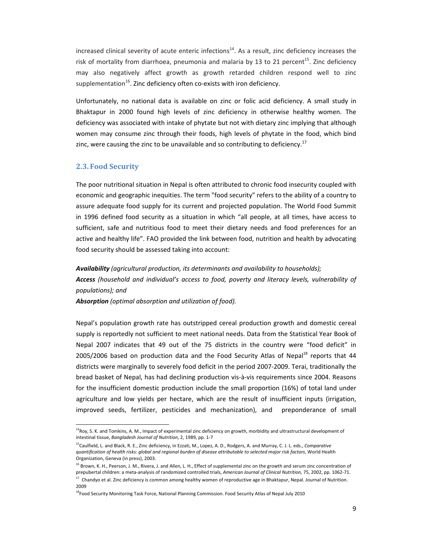$increased$  clinical severity of acute enteric infections $14$ . As a result, zinc deficiency increases the risk of mortality from diarrhoea, pneumonia and malaria by 13 to 21 percent<sup>15</sup>. Zinc deficiency may also negatively affect growth as growth retarded children respond well to zinc supplementation $^{16}$ . Zinc deficiency often co-exists with iron deficiency.

Unfortunately, no national data is available on zinc or folic acid deficiency. A small study in Bhaktapur in 2000 found high levels of zinc deficiency in otherwise healthy women. The deficiency was associated with intake of phytate but not with dietary zinc implying that although women may consume zinc through their foods, high levels of phytate in the food, which bind zinc, were causing the zinc to be unavailable and so contributing to deficiency.<sup>17</sup>

### **2.3. Food Security**

The poor nutritional situation in Nepal is often attributed to chronic food insecurity coupled with economic and geographic inequities. The term "food security" refers to the ability of a country to assure adequate food supply for its current and projected population. The World Food Summit in 1996 defined food security as a situation in which "all people, at all times, have access to sufficient, safe and nutritious food to meet their dietary needs and food preferences for an active and healthy life". FAO provided the link between food, nutrition and health by advocating food security should be assessed taking into account:

*Availability (agricultural production, its determinants and availability to households); Access (household and individual's access to food, poverty and literacy levels, vulnerability of populations); and*

*Absorption (optimal absorption and utilization of food).* 

Nepal's population growth rate has outstripped cereal production growth and domestic cereal supply is reportedly not sufficient to meet national needs. Data from the Statistical Year Book of Nepal 2007 indicates that 49 out of the 75 districts in the country were "food deficit" in  $2005/2006$  based on production data and the Food Security Atlas of Nepal<sup>18</sup> reports that 44 districts were marginally to severely food deficit in the period 2007‐2009. Terai, traditionally the bread basket of Nepal, has had declining production vis‐à‐vis requirements since 2004. Reasons for the insufficient domestic production include the small proportion (16%) of total land under agriculture and low yields per hectare, which are the result of insufficient inputs (irrigation, improved seeds, fertilizer, pesticides and mechanization), and preponderance of small

<sup>&</sup>lt;sup>14</sup>Roy, S. K. and Tomkins, A. M., Impact of experimental zinc deficiency on growth, morbidity and ultrastructural development of intestinal tissue, *Bangladesh Journal of Nutrition*, 2, 1989, pp. 1‐7

<sup>15</sup>Caulfield, L. and Black, R. E., Zinc deficiency, in Ezzati, M., Lopez, A. D., Rodgers, A. and Murray, C. J. L. eds., *Comparative* quantification of health risks: global and regional burden of disease attributable to selected major risk factors, World Health Organization, Geneva (in press), 2003.

<sup>&</sup>lt;sup>16</sup> Brown, K. H., Peerson, J. M., Rivera, J. and Allen, L. H., Effect of supplemental zinc on the growth and serum zinc concentration of prepubertal children: a meta‐analysis of randomized controlled trials, *American Journal of Clinical Nutrition,* 75, 2002, pp. 1062‐71. <sup>17</sup> Chandyo et al. Zinc deficiency is common among healthy women of reproductive age in Bhaktapur, Nepal. Journal of Nutrition. 2009

<sup>&</sup>lt;sup>18</sup>Food Security Monitoring Task Force, National Planning Commission. Food Security Atlas of Nepal July 2010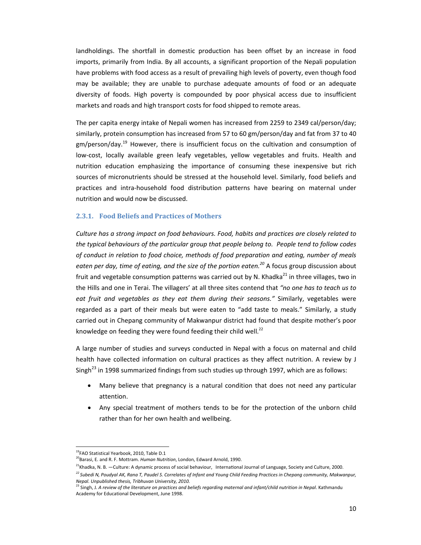landholdings. The shortfall in domestic production has been offset by an increase in food imports, primarily from India. By all accounts, a significant proportion of the Nepali population have problems with food access as a result of prevailing high levels of poverty, even though food may be available; they are unable to purchase adequate amounts of food or an adequate diversity of foods. High poverty is compounded by poor physical access due to insufficient markets and roads and high transport costs for food shipped to remote areas.

The per capita energy intake of Nepali women has increased from 2259 to 2349 cal/person/day; similarly, protein consumption has increased from 57 to 60 gm/person/day and fat from 37 to 40 gm/person/day.<sup>19</sup> However, there is insufficient focus on the cultivation and consumption of low-cost, locally available green leafy vegetables, yellow vegetables and fruits. Health and nutrition education emphasizing the importance of consuming these inexpensive but rich sources of micronutrients should be stressed at the household level. Similarly, food beliefs and practices and intra‐household food distribution patterns have bearing on maternal under nutrition and would now be discussed.

### **2.3.1. Food Beliefs and Practices of Mothers**

*Culture has a strong impact on food behaviours. Food, habits and practices are closely related to the typical behaviours of the particular group that people belong to. People tend to follow codes of conduct in relation to food choice, methods of food preparation and eating, number of meals eaten per day, time of eating, and the size of the portion eaten.20* A focus group discussion about fruit and vegetable consumption patterns was carried out by N. Khadka $^{21}$  in three villages, two in the Hills and one in Terai. The villagers' at all three sites contend that *"no one has to teach us to eat fruit and vegetables as they eat them during their seasons."* Similarly, vegetables were regarded as a part of their meals but were eaten to "add taste to meals." Similarly, a study carried out in Chepang community of Makwanpur district had found that despite mother's poor knowledge on feeding they were found feeding their child well. $^{22}$ 

A large number of studies and surveys conducted in Nepal with a focus on maternal and child health have collected information on cultural practices as they affect nutrition. A review by J Singh<sup>23</sup> in 1998 summarized findings from such studies up through 1997, which are as follows:

- Many believe that pregnancy is a natural condition that does not need any particular attention.
- Any special treatment of mothers tends to be for the protection of the unborn child rather than for her own health and wellbeing.

 <sup>19</sup>FAO Statistical Yearbook, 2010, Table D.1

<sup>20</sup>Barasi, E. and R. F. Mottram. *Human Nutrition*, London, Edward Arnold, 1990.

 $^{21}$ Khadka, N. B. —Culture: A dynamic process of social behaviour, International Journal of Language, Society and Culture, 2000. <sup>22</sup> Subedi N, Poudyal AK, Rana T, Paudel S. Correlates of Infant and Young Child Feeding Practices in Chepang community, Makwanpur,

Nepal. Unpublished thesis, Tribhuvan University, 2010.<br><sup>23</sup> Singh, J. A review of the literature on practices and beliefs regarding maternal and infant/child nutrition in Nepal. Kathmandu Academy for Educational Development, June 1998.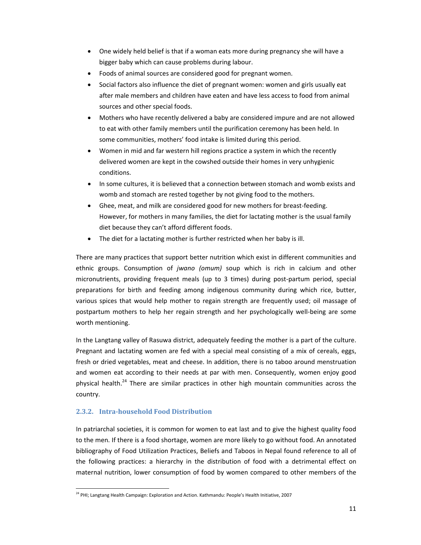- One widely held belief is that if a woman eats more during pregnancy she will have a bigger baby which can cause problems during labour.
- Foods of animal sources are considered good for pregnant women.
- Social factors also influence the diet of pregnant women: women and girls usually eat after male members and children have eaten and have less access to food from animal sources and other special foods.
- Mothers who have recently delivered a baby are considered impure and are not allowed to eat with other family members until the purification ceremony has been held. In some communities, mothers' food intake is limited during this period.
- Women in mid and far western hill regions practice a system in which the recently delivered women are kept in the cowshed outside their homes in very unhygienic conditions.
- In some cultures, it is believed that a connection between stomach and womb exists and womb and stomach are rested together by not giving food to the mothers.
- Ghee, meat, and milk are considered good for new mothers for breast‐feeding. However, for mothers in many families, the diet for lactating mother is the usual family diet because they can't afford different foods.
- The diet for a lactating mother is further restricted when her baby is ill.

There are many practices that support better nutrition which exist in different communities and ethnic groups. Consumption of *jwano (omum)* soup which is rich in calcium and other micronutrients, providing frequent meals (up to 3 times) during post-partum period, special preparations for birth and feeding among indigenous community during which rice, butter, various spices that would help mother to regain strength are frequently used; oil massage of postpartum mothers to help her regain strength and her psychologically well‐being are some worth mentioning.

In the Langtang valley of Rasuwa district, adequately feeding the mother is a part of the culture. Pregnant and lactating women are fed with a special meal consisting of a mix of cereals, eggs, fresh or dried vegetables, meat and cheese. In addition, there is no taboo around menstruation and women eat according to their needs at par with men. Consequently, women enjoy good physical health.<sup>24</sup> There are similar practices in other high mountain communities across the country.

# **2.3.2. Intra‐household Food Distribution**

In patriarchal societies, it is common for women to eat last and to give the highest quality food to the men. If there is a food shortage, women are more likely to go without food. An annotated bibliography of Food Utilization Practices, Beliefs and Taboos in Nepal found reference to all of the following practices: a hierarchy in the distribution of food with a detrimental effect on maternal nutrition, lower consumption of food by women compared to other members of the

<sup>&</sup>lt;sup>24</sup> PHI; Langtang Health Campaign: Exploration and Action. Kathmandu: People's Health Initiative, 2007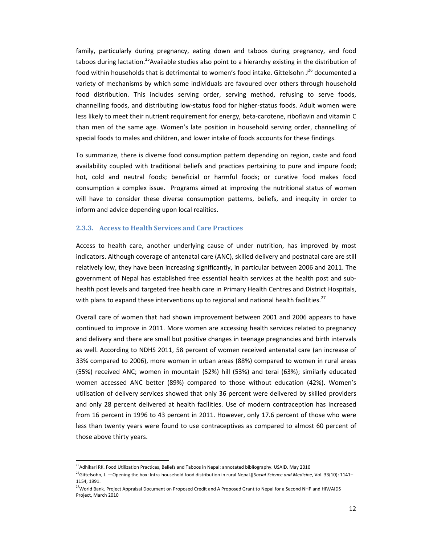family, particularly during pregnancy, eating down and taboos during pregnancy, and food taboos during lactation.<sup>25</sup>Available studies also point to a hierarchy existing in the distribution of food within households that is detrimental to women's food intake. Gittelsohn J<sup>26</sup> documented a variety of mechanisms by which some individuals are favoured over others through household food distribution. This includes serving order, serving method, refusing to serve foods, channelling foods, and distributing low‐status food for higher‐status foods. Adult women were less likely to meet their nutrient requirement for energy, beta‐carotene, riboflavin and vitamin C than men of the same age. Women's late position in household serving order, channelling of special foods to males and children, and lower intake of foods accounts for these findings.

To summarize, there is diverse food consumption pattern depending on region, caste and food availability coupled with traditional beliefs and practices pertaining to pure and impure food; hot, cold and neutral foods; beneficial or harmful foods; or curative food makes food consumption a complex issue. Programs aimed at improving the nutritional status of women will have to consider these diverse consumption patterns, beliefs, and inequity in order to inform and advice depending upon local realities.

#### **2.3.3. Access to Health Services and Care Practices**

Access to health care, another underlying cause of under nutrition, has improved by most indicators. Although coverage of antenatal care (ANC), skilled delivery and postnatal care are still relatively low, they have been increasing significantly, in particular between 2006 and 2011. The government of Nepal has established free essential health services at the health post and sub‐ health post levels and targeted free health care in Primary Health Centres and District Hospitals, with plans to expand these interventions up to regional and national health facilities.<sup>27</sup>

Overall care of women that had shown improvement between 2001 and 2006 appears to have continued to improve in 2011. More women are accessing health services related to pregnancy and delivery and there are small but positive changes in teenage pregnancies and birth intervals as well. According to NDHS 2011, 58 percent of women received antenatal care (an increase of 33% compared to 2006), more women in urban areas (88%) compared to women in rural areas (55%) received ANC; women in mountain (52%) hill (53%) and terai (63%); similarly educated women accessed ANC better (89%) compared to those without education (42%). Women's utilisation of delivery services showed that only 36 percent were delivered by skilled providers and only 28 percent delivered at health facilities. Use of modern contraception has increased from 16 percent in 1996 to 43 percent in 2011. However, only 17.6 percent of those who were less than twenty years were found to use contraceptives as compared to almost 60 percent of those above thirty years.

<sup>&</sup>lt;sup>25</sup>Adhikari RK. Food Utilization Practices, Beliefs and Taboos in Nepal: annotated bibliography. USAID. May 2010

<sup>26</sup>GiƩelsohn, J. ―Opening the box: Intra‐household food distribution in rural Nepal.‖*Social Science and Medicine*, Vol. 33(10): 1141– 1154, 1991.

<sup>&</sup>lt;sup>27</sup>World Bank. Project Appraisal Document on Proposed Credit and A Proposed Grant to Nepal for a Second NHP and HIV/AIDS Project, March 2010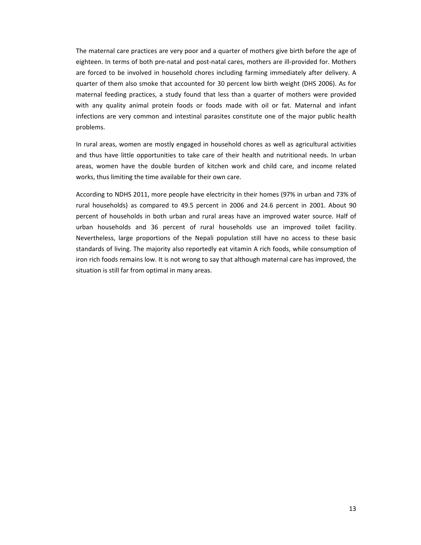The maternal care practices are very poor and a quarter of mothers give birth before the age of eighteen. In terms of both pre-natal and post-natal cares, mothers are ill-provided for. Mothers are forced to be involved in household chores including farming immediately after delivery. A quarter of them also smoke that accounted for 30 percent low birth weight (DHS 2006). As for maternal feeding practices, a study found that less than a quarter of mothers were provided with any quality animal protein foods or foods made with oil or fat. Maternal and infant infections are very common and intestinal parasites constitute one of the major public health problems.

In rural areas, women are mostly engaged in household chores as well as agricultural activities and thus have little opportunities to take care of their health and nutritional needs. In urban areas, women have the double burden of kitchen work and child care, and income related works, thus limiting the time available for their own care.

According to NDHS 2011, more people have electricity in their homes (97% in urban and 73% of rural households) as compared to 49.5 percent in 2006 and 24.6 percent in 2001. About 90 percent of households in both urban and rural areas have an improved water source. Half of urban households and 36 percent of rural households use an improved toilet facility. Nevertheless, large proportions of the Nepali population still have no access to these basic standards of living. The majority also reportedly eat vitamin A rich foods, while consumption of iron rich foods remains low. It is not wrong to say that although maternal care has improved, the situation is still far from optimal in many areas.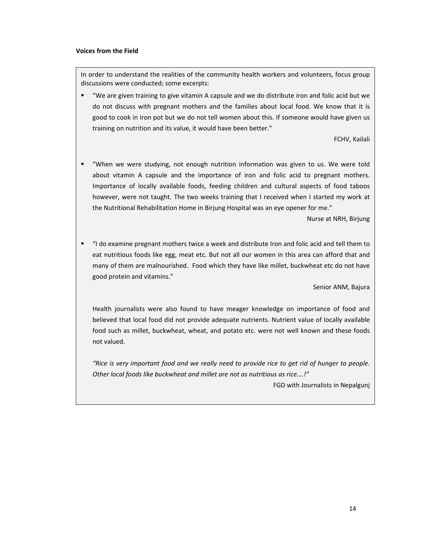#### **Voices from the Field**

In order to understand the realities of the community health workers and volunteers, focus group discussions were conducted; some excerpts:

 "We are given training to give vitamin A capsule and we do distribute iron and folic acid but we do not discuss with pregnant mothers and the families about local food. We know that it is good to cook in iron pot but we do not tell women about this. If someone would have given us training on nutrition and its value, it would have been better."

FCHV, Kailali

 "When we were studying, not enough nutrition information was given to us. We were told about vitamin A capsule and the importance of iron and folic acid to pregnant mothers. Importance of locally available foods, feeding children and cultural aspects of food taboos however, were not taught. The two weeks training that I received when I started my work at the Nutritional Rehabilitation Home in Birjung Hospital was an eye opener for me."

Nurse at NRH, Birjung

 "I do examine pregnant mothers twice a week and distribute Iron and folic acid and tell them to eat nutritious foods like egg, meat etc. But not all our women in this area can afford that and many of them are malnourished. Food which they have like millet, buckwheat etc do not have good protein and vitamins."

Senior ANM, Bajura

Health journalists were also found to have meager knowledge on importance of food and believed that local food did not provide adequate nutrients. Nutrient value of locally available food such as millet, buckwheat, wheat, and potato etc. were not well known and these foods not valued.

"Rice is very important food and we really need to provide rice to get rid of hunger to people. *Other local foods like buckwheat and millet are not as nutritious as rice….!"*

FGD with Journalists in Nepalgunj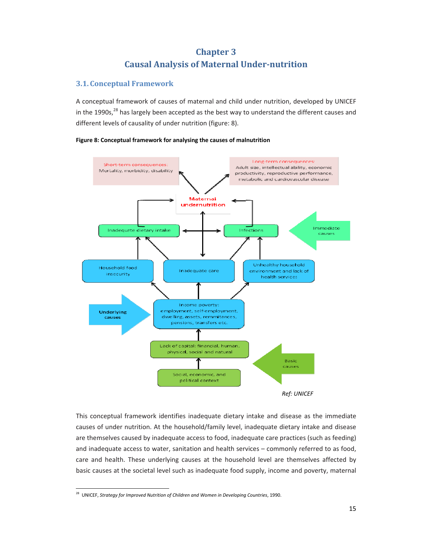# **Chapter 3 Causal Analysis of Maternal Under‐nutrition**

# **3.1. Conceptual Framework**

A conceptual framework of causes of maternal and child under nutrition, developed by UNICEF in the 1990s, $^{28}$  has largely been accepted as the best way to understand the different causes and different levels of causality of under nutrition (figure: 8).







This conceptual framework identifies inadequate dietary intake and disease as the immediate causes of under nutrition. At the household/family level, inadequate dietary intake and disease are themselves caused by inadequate access to food, inadequate care practices (such as feeding) and inadequate access to water, sanitation and health services – commonly referred to as food, care and health. These underlying causes at the household level are themselves affected by basic causes at the societal level such as inadequate food supply, income and poverty, maternal

<sup>28</sup> UNICEF, *Strategy for Improved Nutrition of Children and Women in Developing Countries*, 1990.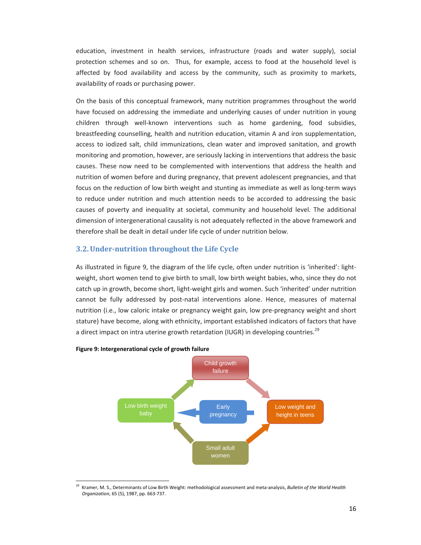education, investment in health services, infrastructure (roads and water supply), social protection schemes and so on. Thus, for example, access to food at the household level is affected by food availability and access by the community, such as proximity to markets, availability of roads or purchasing power.

On the basis of this conceptual framework, many nutrition programmes throughout the world have focused on addressing the immediate and underlying causes of under nutrition in young children through well‐known interventions such as home gardening, food subsidies, breastfeeding counselling, health and nutrition education, vitamin A and iron supplementation, access to iodized salt, child immunizations, clean water and improved sanitation, and growth monitoring and promotion, however, are seriously lacking in interventions that address the basic causes. These now need to be complemented with interventions that address the health and nutrition of women before and during pregnancy, that prevent adolescent pregnancies, and that focus on the reduction of low birth weight and stunting as immediate as well as long-term ways to reduce under nutrition and much attention needs to be accorded to addressing the basic causes of poverty and inequality at societal, community and household level. The additional dimension of intergenerational causality is not adequately reflected in the above framework and therefore shall be dealt in detail under life cycle of under nutrition below.

# **3.2.Under‐nutrition throughout the Life Cycle**

As illustrated in figure 9, the diagram of the life cycle, often under nutrition is 'inherited': light‐ weight, short women tend to give birth to small, low birth weight babies, who, since they do not catch up in growth, become short, light‐weight girls and women. Such 'inherited' under nutrition cannot be fully addressed by post‐natal interventions alone. Hence, measures of maternal nutrition (i.e., low caloric intake or pregnancy weight gain, low pre‐pregnancy weight and short stature) have become, along with ethnicity, important established indicators of factors that have a direct impact on intra uterine growth retardation (IUGR) in developing countries.<sup>29</sup>



#### **Figure 9: Intergenerational cycle of growth failure**

<sup>29</sup> Kramer, M. S., Determinants of Low Birth Weight: methodological assessment and meta‐analysis, *Bulletin of the World Health Organization*, 65 (5), 1987, pp. 663‐737.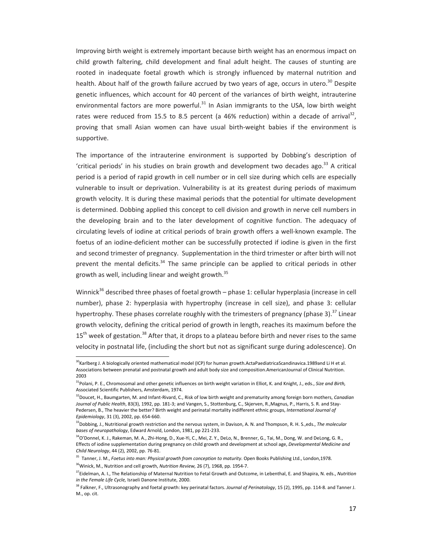Improving birth weight is extremely important because birth weight has an enormous impact on child growth faltering, child development and final adult height. The causes of stunting are rooted in inadequate foetal growth which is strongly influenced by maternal nutrition and health. About half of the growth failure accrued by two years of age, occurs in utero.<sup>30</sup> Despite genetic influences, which account for 40 percent of the variances of birth weight, intrauterine environmental factors are more powerful. $31$  In Asian immigrants to the USA, low birth weight rates were reduced from 15.5 to 8.5 percent (a 46% reduction) within a decade of arrival<sup>32</sup>, proving that small Asian women can have usual birth‐weight babies if the environment is supportive.

The importance of the intrauterine environment is supported by Dobbing's description of 'critical periods' in his studies on brain growth and development two decades ago.<sup>33</sup> A critical period is a period of rapid growth in cell number or in cell size during which cells are especially vulnerable to insult or deprivation. Vulnerability is at its greatest during periods of maximum growth velocity. It is during these maximal periods that the potential for ultimate development is determined. Dobbing applied this concept to cell division and growth in nerve cell numbers in the developing brain and to the later development of cognitive function. The adequacy of circulating levels of iodine at critical periods of brain growth offers a well‐known example. The foetus of an iodine-deficient mother can be successfully protected if iodine is given in the first and second trimester of pregnancy. Supplementation in the third trimester or after birth will not prevent the mental deficits. $34$  The same principle can be applied to critical periods in other growth as well, including linear and weight growth.<sup>35</sup>

Winnick<sup>36</sup> described three phases of foetal growth - phase 1: cellular hyperplasia (increase in cell number), phase 2: hyperplasia with hypertrophy (increase in cell size), and phase 3: cellular hypertrophy. These phases correlate roughly with the trimesters of pregnancy (phase 3).<sup>37</sup> Linear growth velocity, defining the critical period of growth in length, reaches its maximum before the  $15<sup>th</sup>$  week of gestation.<sup>38</sup> After that, it drops to a plateau before birth and never rises to the same velocity in postnatal life, (including the short but not as significant surge during adolescence). On

<sup>&</sup>lt;sup>30</sup>Karlberg J. A biologically oriented mathematical model (ICP) for human growth.ActaPaediatricaScandinavica.1989and Li H et al. Associations between prenatal and postnatal growth and adult body size and composition.AmericanJournal of Clinical Nutrition. 2003

<sup>31</sup>Polani, P. E., Chromosomal and other genetic influences on birth weight variation in Elliot, K. and Knight, J., eds., *Size and Birth,* Associated Scientific Publishers, Amsterdam, 1974.

<sup>32</sup>Doucet, H., Baumgarten, M. and Infant‐Rivard, C., Risk of low birth weight and prematurity among foreign born mothers, *Canadian Journal of Public Health*, 83(3), 1992, pp. 181‐3; and Vangen, S., Stottenburg, C., Skjerven, R.,Magnus, P., Harris, S. R. and Stay‐ Pedersen, B., The heavier the better? Birth weight and perinatal mortality indifferent ethnic groups, *International Journal of Epidemiology*, 31 (3), 2002, pp. 654‐660.

<sup>33</sup>Dobbing, J., Nutritional growth restriction and the nervous system, in Davison, A. N. and Thompson, R. H. S.,eds., *The molecular bases of neuropathology*, Edward Arnold, London, 1981, pp 221‐233.

<sup>34</sup>O'Donnel, K. J., Rakeman, M. A., Zhi-Hong, D., Xue-Yi, C., Mei, Z. Y., DeLo, N., Brenner, G., Tai, M., Dong, W. and DeLong, G. R., Effects of iodine supplementation during pregnancy on child growth and development at school age, *Developmental Medicine and Child Neurology*, 44 (2), 2002, pp. 76‐81.

<sup>35</sup> Tanner, J. M., *Foetus into man: Physical growth from conception to maturity*. Open Books Publishing Ltd., London,1978. 36Winick, M., Nutrition and cell growth, *Nutrition Review,* 26 (7), 1968, pp. 1954‐7.

<sup>37</sup>Eidelman, A. I., The Relationship of Maternal Nutrition to Fetal Growth and Outcome, in Lebenthal, E. and Shapira, N. eds., *Nutrition in the Female Life Cycle,* Israeli Danone Institute, 2000.

<sup>38</sup> Falkner, F., Ultrasonography and foetal growth: key perinatal factors. *Journal of Perinatology*, 15 (2), 1995, pp. 114‐8. and Tanner J. M., op. cit.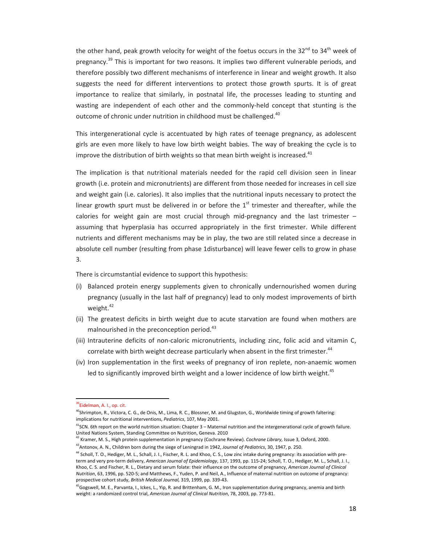the other hand, peak growth velocity for weight of the foetus occurs in the 32<sup>nd</sup> to 34<sup>th</sup> week of pregnancy.<sup>39</sup> This is important for two reasons. It implies two different vulnerable periods, and therefore possibly two different mechanisms of interference in linear and weight growth. It also suggests the need for different interventions to protect those growth spurts. It is of great importance to realize that similarly, in postnatal life, the processes leading to stunting and wasting are independent of each other and the commonly-held concept that stunting is the outcome of chronic under nutrition in childhood must be challenged.<sup>40</sup>

This intergenerational cycle is accentuated by high rates of teenage pregnancy, as adolescent girls are even more likely to have low birth weight babies. The way of breaking the cycle is to improve the distribution of birth weights so that mean birth weight is increased.<sup>41</sup>

The implication is that nutritional materials needed for the rapid cell division seen in linear growth (i.e. protein and micronutrients) are different from those needed for increases in cell size and weight gain (i.e. calories). It also implies that the nutritional inputs necessary to protect the linear growth spurt must be delivered in or before the  $1<sup>st</sup>$  trimester and thereafter, while the calories for weight gain are most crucial through mid-pregnancy and the last trimester  $$ assuming that hyperplasia has occurred appropriately in the first trimester. While different nutrients and different mechanisms may be in play, the two are still related since a decrease in absolute cell number (resulting from phase 1disturbance) will leave fewer cells to grow in phase 3.

There is circumstantial evidence to support this hypothesis:

- (i) Balanced protein energy supplements given to chronically undernourished women during pregnancy (usually in the last half of pregnancy) lead to only modest improvements of birth weight.<sup>42</sup>
- (ii) The greatest deficits in birth weight due to acute starvation are found when mothers are malnourished in the preconception period.<sup>43</sup>
- (iii) Intrauterine deficits of non-caloric micronutrients, including zinc, folic acid and vitamin C, correlate with birth weight decrease particularly when absent in the first trimester.<sup>44</sup>
- (iv) Iron supplementation in the first weeks of pregnancy of iron replete, non-anaemic women led to significantly improved birth weight and a lower incidence of low birth weight.<sup>45</sup>

<sup>42</sup> Kramer, M. S., High protein supplementation in pregnancy (Cochrane Review). *Cochrane Library,* Issue 3, Oxford, 2000.

<sup>&</sup>lt;sup>39</sup>Eidelman, A. I., op. cit.

 $^{40}$ Shrimpton, R., Victora, C. G., de Onis, M., Lima, R. C., Blossner, M. and Glugston, G., Worldwide timing of growth faltering: implications for nutritional interventions, *Pediatrics*, 107, May 2001.

 $^{41}$ SCN. 6th report on the world nutrition situation: Chapter 3 – Maternal nutrition and the intergenerational cycle of growth failure. United Nations System, Standing Committee on Nutrition, Geneva. 2010

<sup>43</sup>Antonov, A. N., Children born during the siege of Leningrad in 1942, *Journal of Pediatrics*, 30, 1947, p. 250.

<sup>&</sup>lt;sup>44</sup> Scholl, T. O., Hediger, M. L., Schall, J. I., Fischer, R. L. and Khoo, C. S., Low zinc intake during pregnancy: its association with preterm and very pre‐term delivery, *American Journal of Epidemiology*, 137, 1993, pp. 115‐24; Scholl, T. O., Hediger, M. L., Schall, J. I., Khoo, C. S. and Fischer, R. L., Dietary and serum folate: their influence on the outcome of pregnancy, *American Journal of Clinical Nutrition*, 63, 1996, pp. 520‐5; and Matthews, F., Yuden, P. and Neil, A., Influence of maternal nutrition on outcome of pregnancy: prospective cohort study, *British Medical Journal,* 319, 1999, pp. 339‐43.

<sup>&</sup>lt;sup>45</sup>Gogswell, M. E., Parvanta, I., Ickes, L., Yip, R. and Brittenham, G. M., Iron supplementation during pregnancy, anemia and birth weight: a randomized control trial, *American Journal of Clinical Nutrition*, 78, 2003, pp. 773‐81.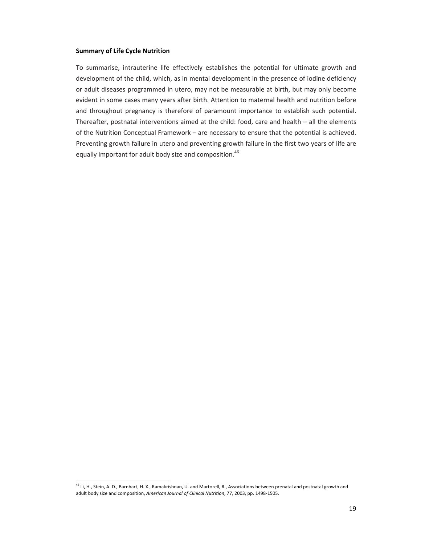#### **Summary of Life Cycle Nutrition**

To summarise, intrauterine life effectively establishes the potential for ultimate growth and development of the child, which, as in mental development in the presence of iodine deficiency or adult diseases programmed in utero, may not be measurable at birth, but may only become evident in some cases many years after birth. Attention to maternal health and nutrition before and throughout pregnancy is therefore of paramount importance to establish such potential. Thereafter, postnatal interventions aimed at the child: food, care and health – all the elements of the Nutrition Conceptual Framework – are necessary to ensure that the potential is achieved. Preventing growth failure in utero and preventing growth failure in the first two years of life are equally important for adult body size and composition.<sup>46</sup>

<sup>&</sup>lt;sup>46</sup> Li, H., Stein, A. D., Barnhart, H. X., Ramakrishnan, U. and Martorell, R., Associations between prenatal and postnatal growth and adult body size and composition, *American Journal of Clinical Nutrition*, 77, 2003, pp. 1498‐1505.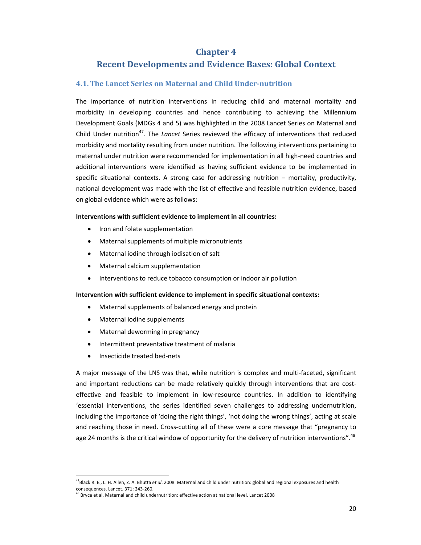# **Chapter 4**

# **Recent Developments and Evidence Bases: Global Context**

# **4.1.The Lancet Series on Maternal and Child Under‐nutrition**

The importance of nutrition interventions in reducing child and maternal mortality and morbidity in developing countries and hence contributing to achieving the Millennium Development Goals (MDGs 4 and 5) was highlighted in the 2008 Lancet Series on Maternal and Child Under nutrition<sup>47</sup>. The *Lancet* Series reviewed the efficacy of interventions that reduced morbidity and mortality resulting from under nutrition. The following interventions pertaining to maternal under nutrition were recommended for implementation in all high‐need countries and additional interventions were identified as having sufficient evidence to be implemented in specific situational contexts. A strong case for addressing nutrition – mortality, productivity, national development was made with the list of effective and feasible nutrition evidence, based on global evidence which were as follows:

#### **Interventions with sufficient evidence to implement in all countries:**

- Iron and folate supplementation
- Maternal supplements of multiple micronutrients
- Maternal iodine through iodisation of salt
- Maternal calcium supplementation
- Interventions to reduce tobacco consumption or indoor air pollution

### **Intervention with sufficient evidence to implement in specific situational contexts:**

- Maternal supplements of balanced energy and protein
- Maternal iodine supplements
- Maternal deworming in pregnancy
- Intermittent preventative treatment of malaria
- Insecticide treated bed‐nets

A major message of the LNS was that, while nutrition is complex and multi‐faceted, significant and important reductions can be made relatively quickly through interventions that are costeffective and feasible to implement in low-resource countries. In addition to identifying 'essential interventions, the series identified seven challenges to addressing undernutrition, including the importance of 'doing the right things', 'not doing the wrong things', acting at scale and reaching those in need. Cross-cutting all of these were a core message that "pregnancy to age 24 months is the critical window of opportunity for the delivery of nutrition interventions".<sup>48</sup>

 47Black R. E., L. H. Allen, Z. A. Bhutta *et al*. 2008. Maternal and child under nutrition: global and regional exposures and health consequences. Lancet. 371: 243‐260.

<sup>&</sup>lt;sup>48</sup> Bryce et al. Maternal and child undernutrition: effective action at national level. Lancet 2008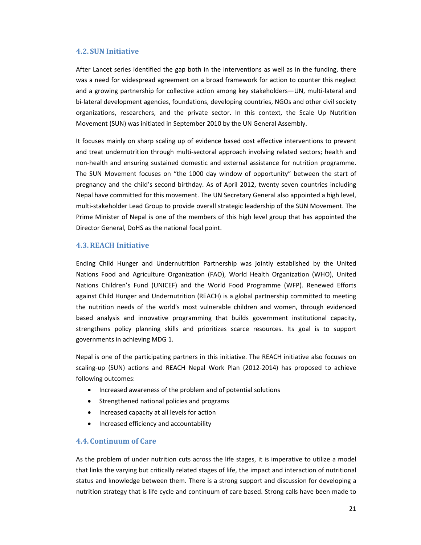# **4.2. SUN Initiative**

After Lancet series identified the gap both in the interventions as well as in the funding, there was a need for widespread agreement on a broad framework for action to counter this neglect and a growing partnership for collective action among key stakeholders—UN, multi-lateral and bi-lateral development agencies, foundations, developing countries, NGOs and other civil society organizations, researchers, and the private sector. In this context, the Scale Up Nutrition Movement (SUN) was initiated in September 2010 by the UN General Assembly.

It focuses mainly on sharp scaling up of evidence based cost effective interventions to prevent and treat undernutrition through multi-sectoral approach involving related sectors; health and non‐health and ensuring sustained domestic and external assistance for nutrition programme. The SUN Movement focuses on "the 1000 day window of opportunity" between the start of pregnancy and the child's second birthday. As of April 2012, twenty seven countries including Nepal have committed for this movement. The UN Secretary General also appointed a high level, multi‐stakeholder Lead Group to provide overall strategic leadership of the SUN Movement. The Prime Minister of Nepal is one of the members of this high level group that has appointed the Director General, DoHS as the national focal point.

# **4.3.REACH Initiative**

Ending Child Hunger and Undernutrition Partnership was jointly established by the United Nations Food and Agriculture Organization (FAO), World Health Organization (WHO), United Nations Children's Fund (UNICEF) and the World Food Programme (WFP). Renewed Efforts against Child Hunger and Undernutrition (REACH) is a global partnership committed to meeting the nutrition needs of the world's most vulnerable children and women, through evidenced based analysis and innovative programming that builds government institutional capacity, strengthens policy planning skills and prioritizes scarce resources. Its goal is to support governments in achieving MDG 1.

Nepal is one of the participating partners in this initiative. The REACH initiative also focuses on scaling‐up (SUN) actions and REACH Nepal Work Plan (2012‐2014) has proposed to achieve following outcomes:

- Increased awareness of the problem and of potential solutions
- Strengthened national policies and programs
- Increased capacity at all levels for action
- Increased efficiency and accountability

# **4.4. Continuum of Care**

As the problem of under nutrition cuts across the life stages, it is imperative to utilize a model that links the varying but critically related stages of life, the impact and interaction of nutritional status and knowledge between them. There is a strong support and discussion for developing a nutrition strategy that is life cycle and continuum of care based. Strong calls have been made to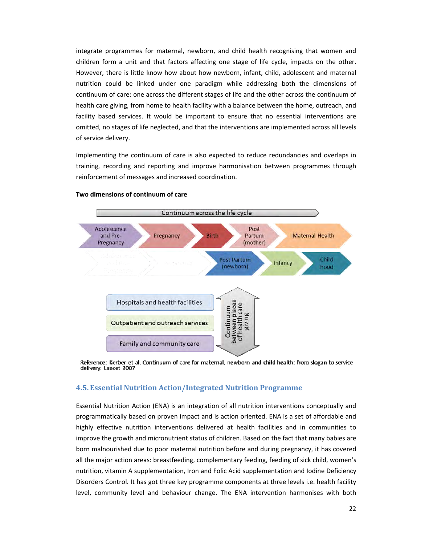integrate programmes for maternal, newborn, and child health recognising that women and children form a unit and that factors affecting one stage of life cycle, impacts on the other. However, there is little know how about how newborn, infant, child, adolescent and maternal nutrition could be linked under one paradigm while addressing both the dimensions of continuum of care: one across the different stages of life and the other across the continuum of health care giving, from home to health facility with a balance between the home, outreach, and facility based services. It would be important to ensure that no essential interventions are omitted, no stages of life neglected, and that the interventions are implemented across all levels of service delivery.

Implementing the continuum of care is also expected to reduce redundancies and overlaps in training, recording and reporting and improve harmonisation between programmes through reinforcement of messages and increased coordination.



#### **Two dimensions of continuum of care**

Reference: Kerber et al. Continuum of care for maternal, newborn and child health: from slogan to service delivery. Lancet 2007

#### **4.5. Essential Nutrition Action/Integrated Nutrition Programme**

Essential Nutrition Action (ENA) is an integration of all nutrition interventions conceptually and programmatically based on proven impact and is action oriented. ENA is a set of affordable and highly effective nutrition interventions delivered at health facilities and in communities to improve the growth and micronutrient status of children. Based on the fact that many babies are born malnourished due to poor maternal nutrition before and during pregnancy, it has covered all the major action areas: breastfeeding, complementary feeding, feeding of sick child, women's nutrition, vitamin A supplementation, Iron and Folic Acid supplementation and Iodine Deficiency Disorders Control. It has got three key programme components at three levels i.e. health facility level, community level and behaviour change. The ENA intervention harmonises with both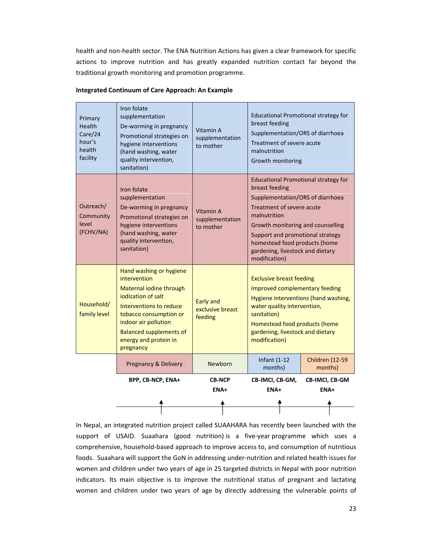health and non‐health sector. The ENA Nutrition Actions has given a clear framework for specific actions to improve nutrition and has greatly expanded nutrition contact far beyond the traditional growth monitoring and promotion programme.

| Primary<br>Health<br>Care/24<br>hour's<br>health<br>facility | Iron folate<br>supplementation<br>De-worming in pregnancy<br>Promotional strategies on<br>hygiene interventions<br>(hand washing, water<br>quality intervention,<br>sanitation)                                                               | Vitamin A<br>supplementation<br>to mother       | <b>Educational Promotional strategy for</b><br>breast feeding<br>Supplementation/ORS of diarrhoea<br>Treatment of severe acute<br>malnutrition<br>Growth monitoring                                                                                                                                           |                                   |
|--------------------------------------------------------------|-----------------------------------------------------------------------------------------------------------------------------------------------------------------------------------------------------------------------------------------------|-------------------------------------------------|---------------------------------------------------------------------------------------------------------------------------------------------------------------------------------------------------------------------------------------------------------------------------------------------------------------|-----------------------------------|
| Outreach/<br>Community<br>level<br>(FCHV/NA)                 | Iron folate<br>supplementation<br>De-worming in pregnancy<br>Promotional strategies on<br>hygiene interventions<br>(hand washing, water<br>quality intervention,<br>sanitation)                                                               | Vitamin A<br>supplementation<br>to mother       | <b>Educational Promotional strategy for</b><br>breast feeding<br>Supplementation/ORS of diarrhoea<br>Treatment of severe acute<br>malnutrition<br>Growth monitoring and counselling<br>Support and promotional strategy<br>homestead food products (home<br>gardening, livestock and dietary<br>modification) |                                   |
| Household/<br>family level                                   | Hand washing or hygiene<br>intervention<br>Maternal iodine through<br>iodization of salt<br>Interventions to reduce<br>tobacco consumption or<br>indoor air pollution<br><b>Balanced supplements of</b><br>energy and protein in<br>pregnancy | <b>Early and</b><br>exclusive breast<br>feeding | <b>Exclusive breast feeding</b><br>Improved complementary feeding<br>Hygiene interventions (hand washing,<br>water quality intervention,<br>sanitation)<br>Homestead food products (home<br>gardening, livestock and dietary<br>modification)                                                                 |                                   |
|                                                              | Pregnancy & Delivery                                                                                                                                                                                                                          | <b>Newborn</b>                                  | <b>Infant (1-12</b><br>months)                                                                                                                                                                                                                                                                                | <b>Children (12-59</b><br>months) |
|                                                              | BPP, CB-NCP, ENA+                                                                                                                                                                                                                             | <b>CB-NCP</b><br>ENA+                           | CB-IMCI, CB-GM,<br>ENA+                                                                                                                                                                                                                                                                                       | CB-IMCI, CB-GM<br>ENA+            |
|                                                              |                                                                                                                                                                                                                                               |                                                 |                                                                                                                                                                                                                                                                                                               |                                   |

#### **Integrated Continuum of Care Approach: An Example**

In Nepal, an integrated nutrition project called SUAAHARA has recently been launched with the support of USAID. Suaahara (good nutrition) is a five‐year programme which uses a comprehensive, household-based approach to improve access to, and consumption of nutritious foods. Suaahara will support the GoN in addressing under‐nutrition and related health issues for women and children under two years of age in 25 targeted districts in Nepal with poor nutrition indicators. Its main objective is to improve the nutritional status of pregnant and lactating women and children under two years of age by directly addressing the vulnerable points of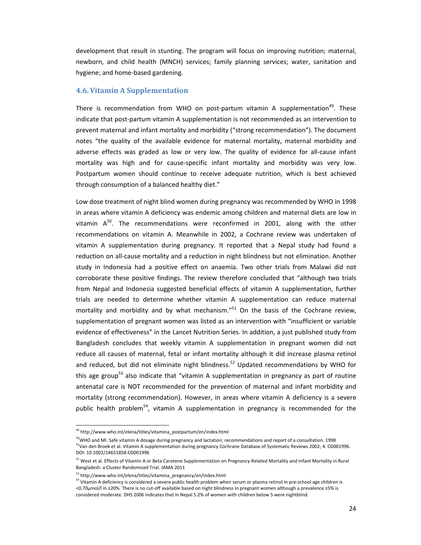development that result in stunting. The program will focus on improving nutrition; maternal, newborn, and child health (MNCH) services; family planning services; water, sanitation and hygiene; and home‐based gardening.

#### **4.6.Vitamin A Supplementation**

There is recommendation from WHO on post-partum vitamin A supplementation<sup>49</sup>. These indicate that post‐partum vitamin A supplementation is not recommended as an intervention to prevent maternal and infant mortality and morbidity ("strong recommendation"). The document notes "the quality of the available evidence for maternal mortality, maternal morbidity and adverse effects was graded as low or very low. The quality of evidence for all-cause infant mortality was high and for cause‐specific infant mortality and morbidity was very low. Postpartum women should continue to receive adequate nutrition, which is best achieved through consumption of a balanced healthy diet."

Low dose treatment of night blind women during pregnancy was recommended by WHO in 1998 in areas where vitamin A deficiency was endemic among children and maternal diets are low in vitamin  $A^{50}$ . The recommendations were reconfirmed in 2001, along with the other recommendations on vitamin A. Meanwhile in 2002, a Cochrane review was undertaken of vitamin A supplementation during pregnancy. It reported that a Nepal study had found a reduction on all‐cause mortality and a reduction in night blindness but not elimination. Another study in Indonesia had a positive effect on anaemia. Two other trials from Malawi did not corroborate these positive findings. The review therefore concluded that "although two trials from Nepal and Indonesia suggested beneficial effects of vitamin A supplementation, further trials are needed to determine whether vitamin A supplementation can reduce maternal mortality and morbidity and by what mechanism. $^{n51}$  On the basis of the Cochrane review, supplementation of pregnant women was listed as an intervention with "insufficient or variable evidence of effectiveness" in the Lancet Nutrition Series. In addition, a just published study from Bangladesh concludes that weekly vitamin A supplementation in pregnant women did not reduce all causes of maternal, fetal or infant mortality although it did increase plasma retinol and reduced, but did not eliminate night blindness.<sup>52</sup> Updated recommendations by WHO for this age group<sup>53</sup> also indicate that "vitamin A supplementation in pregnancy as part of routine antenatal care is NOT recommended for the prevention of maternal and infant morbidity and mortality (strong recommendation). However, in areas where vitamin A deficiency is a severe public health problem<sup>54</sup>, vitamin A supplementation in pregnancy is recommended for the

<sup>&</sup>lt;sup>49</sup> http://www.who.int/elena/titles/vitamina\_postpartum/en/index.html

<sup>&</sup>lt;sup>50</sup>WHO and MI. Safe vitamin A dosage during pregnancy and lactation; recommendations and report of a consultation. 1998 51Van den Broek et al. Vitamin A supplementation during pregnancy Cochrane Database of Systematic Reviews 2002; 4. CD001996. DOI: 10.1002/14651858.CD001996

<sup>52</sup> West et al. Effects of Vitamin A or Beta Carotene Supplementation on Pregnancy-Related Mortality and Infant Mortality in Rural Bangladesh: a Cluster Randomized Trial. JAMA 2011

<sup>&</sup>lt;sup>53</sup> http://www.who.int/elena/titles/vitamina\_pregnancy/en/index.html<br><sup>54</sup> Vitamin A deficiency is considered a severe public health problem when serum or plasma retinol in pre-school age children is <0.70μmol/l in ≥20%. There is no cut‐off available based on night blindness in pregnant women although a prevalence ≥5% is considered moderate. DHS 2006 indicates that in Nepal 5.2% of women with children below 5 were nightblind.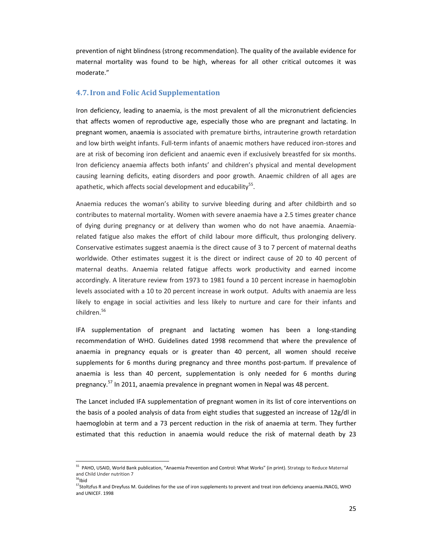prevention of night blindness (strong recommendation). The quality of the available evidence for maternal mortality was found to be high, whereas for all other critical outcomes it was moderate."

### **4.7.Iron and Folic Acid Supplementation**

Iron deficiency, leading to anaemia, is the most prevalent of all the micronutrient deficiencies that affects women of reproductive age, especially those who are pregnant and lactating. In pregnant women, anaemia is associated with premature births, intrauterine growth retardation and low birth weight infants. Full-term infants of anaemic mothers have reduced iron-stores and are at risk of becoming iron deficient and anaemic even if exclusively breastfed for six months. Iron deficiency anaemia affects both infants' and children's physical and mental development causing learning deficits, eating disorders and poor growth. Anaemic children of all ages are apathetic, which affects social development and educability $55$ .

Anaemia reduces the woman's ability to survive bleeding during and after childbirth and so contributes to maternal mortality. Women with severe anaemia have a 2.5 times greater chance of dying during pregnancy or at delivery than women who do not have anaemia. Anaemia‐ related fatigue also makes the effort of child labour more difficult, thus prolonging delivery. Conservative estimates suggest anaemia is the direct cause of 3 to 7 percent of maternal deaths worldwide. Other estimates suggest it is the direct or indirect cause of 20 to 40 percent of maternal deaths. Anaemia related fatigue affects work productivity and earned income accordingly. A literature review from 1973 to 1981 found a 10 percent increase in haemoglobin levels associated with a 10 to 20 percent increase in work output. Adults with anaemia are less likely to engage in social activities and less likely to nurture and care for their infants and children.<sup>56</sup>

IFA supplementation of pregnant and lactating women has been a long‐standing recommendation of WHO. Guidelines dated 1998 recommend that where the prevalence of anaemia in pregnancy equals or is greater than 40 percent, all women should receive supplements for 6 months during pregnancy and three months post-partum. If prevalence of anaemia is less than 40 percent, supplementation is only needed for 6 months during pregnancy.<sup>57</sup> In 2011, anaemia prevalence in pregnant women in Nepal was 48 percent.

The Lancet included IFA supplementation of pregnant women in its list of core interventions on the basis of a pooled analysis of data from eight studies that suggested an increase of 12g/dl in haemoglobin at term and a 73 percent reduction in the risk of anaemia at term. They further estimated that this reduction in anaemia would reduce the risk of maternal death by 23

<sup>&</sup>lt;sup>55</sup> PAHO, USAID, World Bank publication, "Anaemia Prevention and Control: What Works" (in print). Strategy to Reduce Maternal and Child Under nutrition 7

 $56$ Ibid

<sup>57</sup>Stoltzfus R and Dreyfuss M. Guidelines for the use of iron supplements to prevent and treat iron deficiency anaemia.INACG, WHO and UNICEF. 1998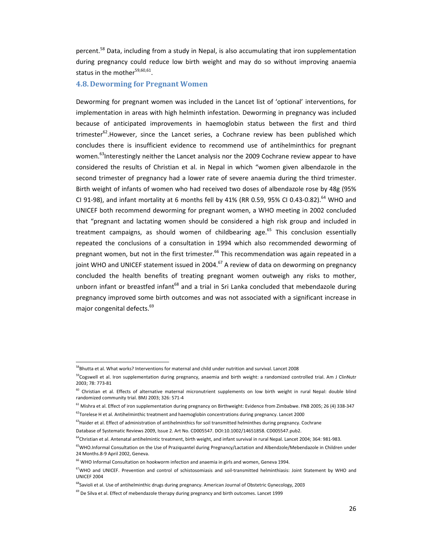percent.<sup>58</sup> Data, including from a study in Nepal, is also accumulating that iron supplementation during pregnancy could reduce low birth weight and may do so without improving anaemia status in the mother $59,60,61$ .

### **4.8. Deworming for Pregnant Women**

Deworming for pregnant women was included in the Lancet list of 'optional' interventions, for implementation in areas with high helminth infestation. Deworming in pregnancy was included because of anticipated improvements in haemoglobin status between the first and third trimester<sup>62</sup>.However, since the Lancet series, a Cochrane review has been published which concludes there is insufficient evidence to recommend use of antihelminthics for pregnant women.<sup>63</sup>Interestingly neither the Lancet analysis nor the 2009 Cochrane review appear to have considered the results of Christian et al. in Nepal in which "women given albendazole in the second trimester of pregnancy had a lower rate of severe anaemia during the third trimester. Birth weight of infants of women who had received two doses of albendazole rose by 48g (95% CI 91-98), and infant mortality at 6 months fell by 41% (RR 0.59, 95% CI 0.43-0.82).<sup>64</sup> WHO and UNICEF both recommend deworming for pregnant women, a WHO meeting in 2002 concluded that "pregnant and lactating women should be considered a high risk group and included in treatment campaigns, as should women of childbearing age. $65$  This conclusion essentially repeated the conclusions of a consultation in 1994 which also recommended deworming of pregnant women, but not in the first trimester.<sup>66</sup> This recommendation was again repeated in a joint WHO and UNICEF statement issued in 2004.<sup>67</sup> A review of data on deworming on pregnancy concluded the health benefits of treating pregnant women outweigh any risks to mother, unborn infant or breastfed infant<sup>68</sup> and a trial in Sri Lanka concluded that mebendazole during pregnancy improved some birth outcomes and was not associated with a significant increase in major congenital defects.<sup>69</sup>

<sup>&</sup>lt;sup>58</sup>Bhutta et al. What works? Interventions for maternal and child under nutrition and survival. Lancet 2008

<sup>&</sup>lt;sup>59</sup>Cogswell et al. Iron supplementation during pregnancy, anaemia and birth weight: a randomized controlled trial. Am J ClinNutr 2003; 78: 773‐81

 $60$  Christian et al. Effects of alternative maternal micronutrient supplements on low birth weight in rural Nepal: double blind randomized community trial. BMJ 2003; 326: 571‐4

<sup>&</sup>lt;sup>61</sup> Mishra et al. Effect of iron supplementation during pregnancy on Birthweight: Evidence from Zimbabwe. FNB 2005; 26 (4) 338-347  $^{62}$ Torelese H et al. Antihelminthic treatment and haemoglobin concentrations during pregnancy. Lancet 2000

<sup>&</sup>lt;sup>63</sup>Haider et al. Effect of administration of antihelminthics for soil transmitted helminthes during pregnancy. Cochrane

Database of Systematic Reviews 2009, Issue 2. Art No. CD005547. DOI:10.1002/14651858. CD005547.pub2.

<sup>64</sup>Christian et al. Antenatal antihelmintic treatment, birth weight, and infant survival in rural Nepal. Lancet 2004; 364: 981‐983.

<sup>&</sup>lt;sup>65</sup>WHO.Informal Consultation on the Use of Praziquantel during Pregnancy/Lactation and Albendzole/Mebendazole in Children under 24 Months.8‐9 April 2002, Geneva.

<sup>&</sup>lt;sup>66</sup> WHO Informal Consultation on hookworm infection and anaemia in girls and women, Geneva 1994.

<sup>&</sup>lt;sup>67</sup>WHO and UNICEF. Prevention and control of schistosomiasis and soil-transmitted helminthiasis: Joint Statement by WHO and UNICEF 2004

<sup>&</sup>lt;sup>68</sup>Savioli et al. Use of antihelminthic drugs during pregnancy. American Journal of Obstetric Gynecology, 2003

<sup>&</sup>lt;sup>69</sup> De Silva et al. Effect of mebendazole therapy during pregnancy and birth outcomes. Lancet 1999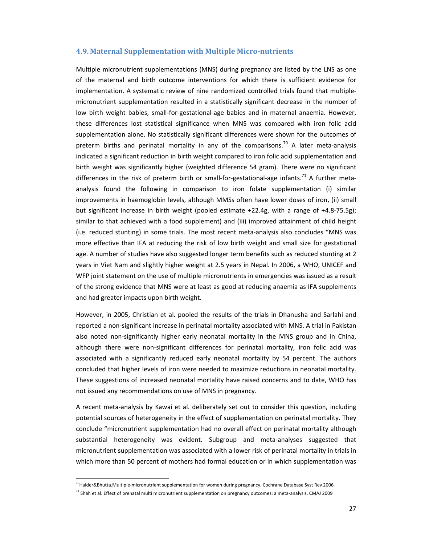#### **4.9. Maternal Supplementation with Multiple Micro‐nutrients**

Multiple micronutrient supplementations (MNS) during pregnancy are listed by the LNS as one of the maternal and birth outcome interventions for which there is sufficient evidence for implementation. A systematic review of nine randomized controlled trials found that multiple‐ micronutrient supplementation resulted in a statistically significant decrease in the number of low birth weight babies, small-for-gestational-age babies and in maternal anaemia. However, these differences lost statistical significance when MNS was compared with iron folic acid supplementation alone. No statistically significant differences were shown for the outcomes of preterm births and perinatal mortality in any of the comparisons.<sup>70</sup> A later meta-analysis indicated a significant reduction in birth weight compared to iron folic acid supplementation and birth weight was significantly higher (weighted difference 54 gram). There were no significant differences in the risk of preterm birth or small-for-gestational-age infants.<sup>71</sup> A further metaanalysis found the following in comparison to iron folate supplementation (i) similar improvements in haemoglobin levels, although MMSs often have lower doses of iron, (ii) small but significant increase in birth weight (pooled estimate +22.4g, with a range of +4.8‐75.5g); similar to that achieved with a food supplement) and (iii) improved attainment of child height (i.e. reduced stunting) in some trials. The most recent meta‐analysis also concludes "MNS was more effective than IFA at reducing the risk of low birth weight and small size for gestational age. A number of studies have also suggested longer term benefits such as reduced stunting at 2 years in Viet Nam and slightly higher weight at 2.5 years in Nepal. In 2006, a WHO, UNICEF and WFP joint statement on the use of multiple micronutrients in emergencies was issued as a result of the strong evidence that MNS were at least as good at reducing anaemia as IFA supplements and had greater impacts upon birth weight.

However, in 2005, Christian et al. pooled the results of the trials in Dhanusha and Sarlahi and reported a non‐significant increase in perinatal mortality associated with MNS. A trial in Pakistan also noted non‐significantly higher early neonatal mortality in the MNS group and in China, although there were non-significant differences for perinatal mortality, iron folic acid was associated with a significantly reduced early neonatal mortality by 54 percent. The authors concluded that higher levels of iron were needed to maximize reductions in neonatal mortality. These suggestions of increased neonatal mortality have raised concerns and to date, WHO has not issued any recommendations on use of MNS in pregnancy.

A recent meta‐analysis by Kawai et al. deliberately set out to consider this question, including potential sources of heterogeneity in the effect of supplementation on perinatal mortality. They conclude "micronutrient supplementation had no overall effect on perinatal mortality although substantial heterogeneity was evident. Subgroup and meta-analyses suggested that micronutrient supplementation was associated with a lower risk of perinatal mortality in trials in which more than 50 percent of mothers had formal education or in which supplementation was

<sup>&</sup>lt;sup>70</sup>Haider&Bhutta.Multiple-micronutrient supplementation for women during pregnancy. Cochrane Database Syst Rev 2006

<sup>&</sup>lt;sup>71</sup> Shah et al. Effect of prenatal multi micronutrient supplementation on pregnancy outcomes: a meta-analysis. CMAJ 2009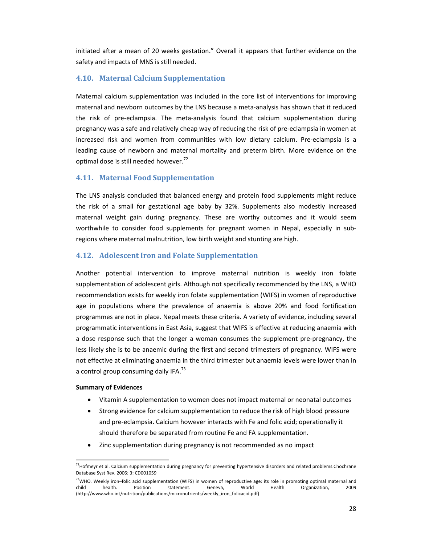initiated after a mean of 20 weeks gestation." Overall it appears that further evidence on the safety and impacts of MNS is still needed.

# **4.10. Maternal Calcium Supplementation**

Maternal calcium supplementation was included in the core list of interventions for improving maternal and newborn outcomes by the LNS because a meta‐analysis has shown that it reduced the risk of pre‐eclampsia. The meta‐analysis found that calcium supplementation during pregnancy was a safe and relatively cheap way of reducing the risk of pre‐eclampsia in women at increased risk and women from communities with low dietary calcium. Pre‐eclampsia is a leading cause of newborn and maternal mortality and preterm birth. More evidence on the optimal dose is still needed however.<sup>72</sup>

# **4.11. Maternal Food Supplementation**

The LNS analysis concluded that balanced energy and protein food supplements might reduce the risk of a small for gestational age baby by 32%. Supplements also modestly increased maternal weight gain during pregnancy. These are worthy outcomes and it would seem worthwhile to consider food supplements for pregnant women in Nepal, especially in subregions where maternal malnutrition, low birth weight and stunting are high.

# **4.12. Adolescent Iron and Folate Supplementation**

Another potential intervention to improve maternal nutrition is weekly iron folate supplementation of adolescent girls. Although not specifically recommended by the LNS, a WHO recommendation exists for weekly iron folate supplementation (WIFS) in women of reproductive age in populations where the prevalence of anaemia is above 20% and food fortification programmes are not in place. Nepal meets these criteria. A variety of evidence, including several programmatic interventions in East Asia, suggest that WIFS is effective at reducing anaemia with a dose response such that the longer a woman consumes the supplement pre‐pregnancy, the less likely she is to be anaemic during the first and second trimesters of pregnancy. WIFS were not effective at eliminating anaemia in the third trimester but anaemia levels were lower than in a control group consuming daily IFA.<sup>73</sup>

#### **Summary of Evidences**

- Vitamin A supplementation to women does not impact maternal or neonatal outcomes
- Strong evidence for calcium supplementation to reduce the risk of high blood pressure and pre‐eclampsia. Calcium however interacts with Fe and folic acid; operationally it should therefore be separated from routine Fe and FA supplementation.
- Zinc supplementation during pregnancy is not recommended as no impact

<sup>&</sup>lt;sup>72</sup> Hofmeyr et al. Calcium supplementation during pregnancy for preventing hypertensive disorders and related problems.Chochrane Database Syst Rev. 2006; 3: CD001059

<sup>&</sup>lt;sup>73</sup>WHO. Weekly iron–folic acid supplementation (WIFS) in women of reproductive age: its role in promoting optimal maternal and child health. Position statement. Geneva, World Health Organization, 2009 (http://www.who.int/nutrition/publications/micronutrients/weekly\_iron\_folicacid.pdf)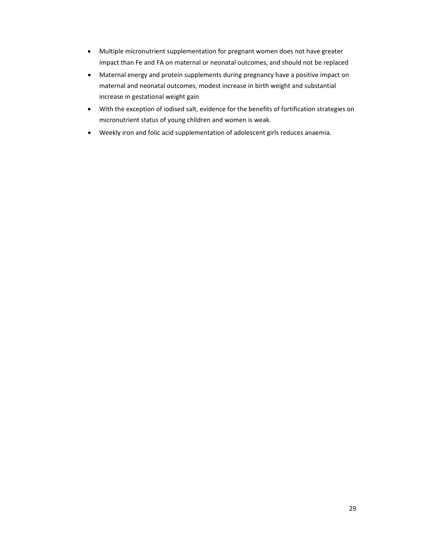- Multiple micronutrient supplementation for pregnant women does not have greater impact than Fe and FA on maternal or neonatal outcomes, and should not be replaced
- Maternal energy and protein supplements during pregnancy have a positive impact on maternal and neonatal outcomes, modest increase in birth weight and substantial increase in gestational weight gain
- With the exception of iodised salt, evidence for the benefits of fortification strategies on micronutrient status of young children and women is weak.
- Weekly iron and folic acid supplementation of adolescent girls reduces anaemia.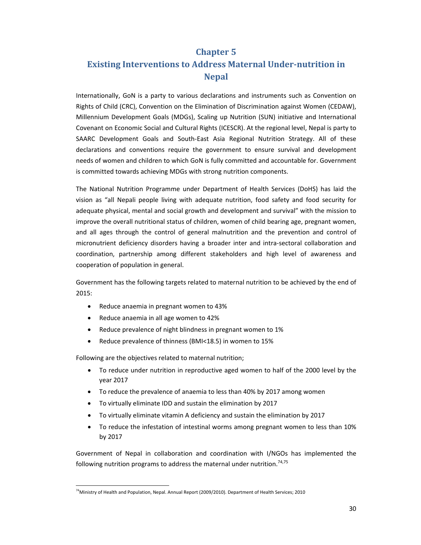# **Chapter 5 Existing Interventions to Address Maternal Under‐nutrition in Nepal**

Internationally, GoN is a party to various declarations and instruments such as Convention on Rights of Child (CRC), Convention on the Elimination of Discrimination against Women (CEDAW), Millennium Development Goals (MDGs), Scaling up Nutrition (SUN) initiative and International Covenant on Economic Social and Cultural Rights (ICESCR). At the regional level, Nepal is party to SAARC Development Goals and South‐East Asia Regional Nutrition Strategy. All of these declarations and conventions require the government to ensure survival and development needs of women and children to which GoN is fully committed and accountable for. Government is committed towards achieving MDGs with strong nutrition components.

The National Nutrition Programme under Department of Health Services (DoHS) has laid the vision as "all Nepali people living with adequate nutrition, food safety and food security for adequate physical, mental and social growth and development and survival" with the mission to improve the overall nutritional status of children, women of child bearing age, pregnant women, and all ages through the control of general malnutrition and the prevention and control of micronutrient deficiency disorders having a broader inter and intra‐sectoral collaboration and coordination, partnership among different stakeholders and high level of awareness and cooperation of population in general.

Government has the following targets related to maternal nutrition to be achieved by the end of 2015:

- Reduce anaemia in pregnant women to 43%
- Reduce anaemia in all age women to 42%
- Reduce prevalence of night blindness in pregnant women to 1%
- Reduce prevalence of thinness (BMI<18.5) in women to 15%

Following are the objectives related to maternal nutrition;

- To reduce under nutrition in reproductive aged women to half of the 2000 level by the year 2017
- To reduce the prevalence of anaemia to less than 40% by 2017 among women
- To virtually eliminate IDD and sustain the elimination by 2017
- To virtually eliminate vitamin A deficiency and sustain the elimination by 2017
- To reduce the infestation of intestinal worms among pregnant women to less than 10% by 2017

Government of Nepal in collaboration and coordination with I/NGOs has implemented the following nutrition programs to address the maternal under nutrition.<sup>74,75</sup>

<sup>&</sup>lt;sup>74</sup>Ministry of Health and Population, Nepal. Annual Report (2009/2010). Department of Health Services; 2010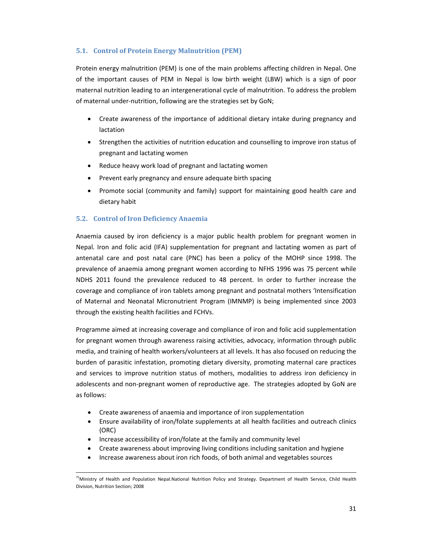# **5.1. Control of Protein Energy Malnutrition (PEM)**

Protein energy malnutrition (PEM) is one of the main problems affecting children in Nepal. One of the important causes of PEM in Nepal is low birth weight (LBW) which is a sign of poor maternal nutrition leading to an intergenerational cycle of malnutrition. To address the problem of maternal under‐nutrition, following are the strategies set by GoN;

- Create awareness of the importance of additional dietary intake during pregnancy and lactation
- Strengthen the activities of nutrition education and counselling to improve iron status of pregnant and lactating women
- Reduce heavy work load of pregnant and lactating women
- Prevent early pregnancy and ensure adequate birth spacing
- Promote social (community and family) support for maintaining good health care and dietary habit

# **5.2. Control of Iron Deficiency Anaemia**

Anaemia caused by iron deficiency is a major public health problem for pregnant women in Nepal. Iron and folic acid (IFA) supplementation for pregnant and lactating women as part of antenatal care and post natal care (PNC) has been a policy of the MOHP since 1998. The prevalence of anaemia among pregnant women according to NFHS 1996 was 75 percent while NDHS 2011 found the prevalence reduced to 48 percent. In order to further increase the coverage and compliance of iron tablets among pregnant and postnatal mothers 'Intensification of Maternal and Neonatal Micronutrient Program (IMNMP) is being implemented since 2003 through the existing health facilities and FCHVs.

Programme aimed at increasing coverage and compliance of iron and folic acid supplementation for pregnant women through awareness raising activities, advocacy, information through public media, and training of health workers/volunteers at all levels. It has also focused on reducing the burden of parasitic infestation, promoting dietary diversity, promoting maternal care practices and services to improve nutrition status of mothers, modalities to address iron deficiency in adolescents and non‐pregnant women of reproductive age. The strategies adopted by GoN are as follows:

- Create awareness of anaemia and importance of iron supplementation
- Ensure availability of iron/folate supplements at all health facilities and outreach clinics (ORC)
- Increase accessibility of iron/folate at the family and community level
- Create awareness about improving living conditions including sanitation and hygiene
- Increase awareness about iron rich foods, of both animal and vegetables sources

 <sup>75</sup>Ministry of Health and Population Nepal.National Nutrition Policy and Strategy. Department of Health Service, Child Health Division, Nutrition Section; 2008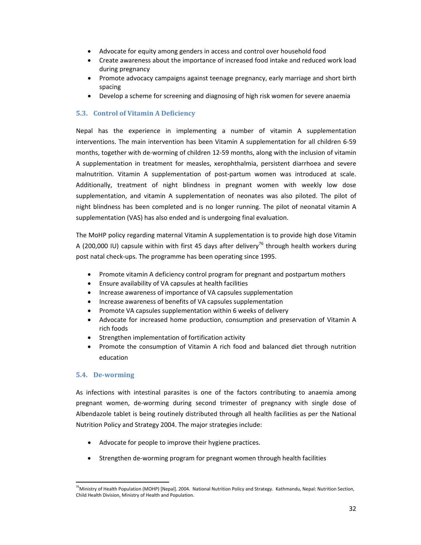- Advocate for equity among genders in access and control over household food
- Create awareness about the importance of increased food intake and reduced work load during pregnancy
- Promote advocacy campaigns against teenage pregnancy, early marriage and short birth spacing
- Develop a scheme for screening and diagnosing of high risk women for severe anaemia

# **5.3. Control of Vitamin A Deficiency**

Nepal has the experience in implementing a number of vitamin A supplementation interventions. The main intervention has been Vitamin A supplementation for all children 6‐59 months, together with de-worming of children 12-59 months, along with the inclusion of vitamin A supplementation in treatment for measles, xerophthalmia, persistent diarrhoea and severe malnutrition. Vitamin A supplementation of post‐partum women was introduced at scale. Additionally, treatment of night blindness in pregnant women with weekly low dose supplementation, and vitamin A supplementation of neonates was also piloted. The pilot of night blindness has been completed and is no longer running. The pilot of neonatal vitamin A supplementation (VAS) has also ended and is undergoing final evaluation.

The MoHP policy regarding maternal Vitamin A supplementation is to provide high dose Vitamin A (200,000 IU) capsule within with first 45 days after delivery<sup>76</sup> through health workers during post natal check‐ups. The programme has been operating since 1995.

- Promote vitamin A deficiency control program for pregnant and postpartum mothers
- Ensure availability of VA capsules at health facilities
- Increase awareness of importance of VA capsules supplementation
- Increase awareness of benefits of VA capsules supplementation
- Promote VA capsules supplementation within 6 weeks of delivery
- Advocate for increased home production, consumption and preservation of Vitamin A rich foods
- Strengthen implementation of fortification activity
- Promote the consumption of Vitamin A rich food and balanced diet through nutrition education

# **5.4. De‐worming**

As infections with intestinal parasites is one of the factors contributing to anaemia among pregnant women, de‐worming during second trimester of pregnancy with single dose of Albendazole tablet is being routinely distributed through all health facilities as per the National Nutrition Policy and Strategy 2004. The major strategies include:

- Advocate for people to improve their hygiene practices.
- Strengthen de-worming program for pregnant women through health facilities

 <sup>76</sup>Ministry of Health Population (MOHP) [Nepal]. 2004. National Nutrition Policy and Strategy. Kathmandu, Nepal: Nutrition Section, Child Health Division, Ministry of Health and Population.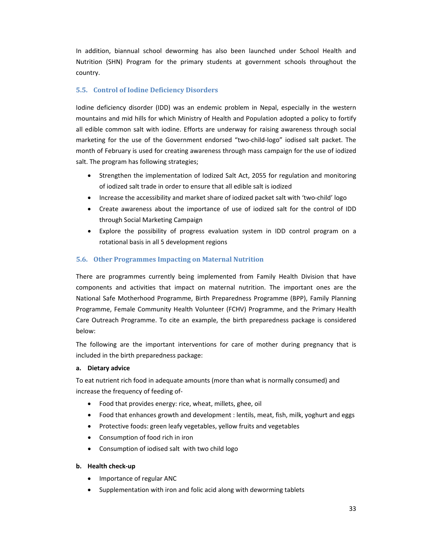In addition, biannual school deworming has also been launched under School Health and Nutrition (SHN) Program for the primary students at government schools throughout the country.

# **5.5. Control of Iodine Deficiency Disorders**

Iodine deficiency disorder (IDD) was an endemic problem in Nepal, especially in the western mountains and mid hills for which Ministry of Health and Population adopted a policy to fortify all edible common salt with iodine. Efforts are underway for raising awareness through social marketing for the use of the Government endorsed "two‐child‐logo" iodised salt packet. The month of February is used for creating awareness through mass campaign for the use of iodized salt. The program has following strategies;

- Strengthen the implementation of Iodized Salt Act, 2055 for regulation and monitoring of iodized salt trade in order to ensure that all edible salt is iodized
- Increase the accessibility and market share of iodized packet salt with 'two-child' logo
- Create awareness about the importance of use of iodized salt for the control of IDD through Social Marketing Campaign
- Explore the possibility of progress evaluation system in IDD control program on a rotational basis in all 5 development regions

# **5.6. Other Programmes Impacting on Maternal Nutrition**

There are programmes currently being implemented from Family Health Division that have components and activities that impact on maternal nutrition. The important ones are the National Safe Motherhood Programme, Birth Preparedness Programme (BPP), Family Planning Programme, Female Community Health Volunteer (FCHV) Programme, and the Primary Health Care Outreach Programme. To cite an example, the birth preparedness package is considered below:

The following are the important interventions for care of mother during pregnancy that is included in the birth preparedness package:

# **a. Dietary advice**

To eat nutrient rich food in adequate amounts (more than what is normally consumed) and increase the frequency of feeding of‐

- Food that provides energy: rice, wheat, millets, ghee, oil
- Food that enhances growth and development : lentils, meat, fish, milk, yoghurt and eggs
- Protective foods: green leafy vegetables, yellow fruits and vegetables
- Consumption of food rich in iron
- Consumption of iodised salt with two child logo

# **b. Health check‐up**

- Importance of regular ANC
- Supplementation with iron and folic acid along with deworming tablets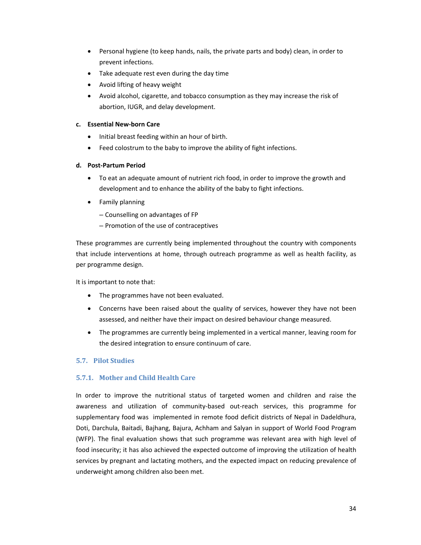- Personal hygiene (to keep hands, nails, the private parts and body) clean, in order to prevent infections.
- Take adequate rest even during the day time
- Avoid lifting of heavy weight
- Avoid alcohol, cigarette, and tobacco consumption as they may increase the risk of abortion, IUGR, and delay development.

# **c. Essential New‐born Care**

- Initial breast feeding within an hour of birth.
- Feed colostrum to the baby to improve the ability of fight infections.

### **d. Post‐Partum Period**

- To eat an adequate amount of nutrient rich food, in order to improve the growth and development and to enhance the ability of the baby to fight infections.
- Family planning
	- Counselling on advantages of FP
	- Promotion of the use of contraceptives

These programmes are currently being implemented throughout the country with components that include interventions at home, through outreach programme as well as health facility, as per programme design.

It is important to note that:

- The programmes have not been evaluated.
- Concerns have been raised about the quality of services, however they have not been assessed, and neither have their impact on desired behaviour change measured.
- The programmes are currently being implemented in a vertical manner, leaving room for the desired integration to ensure continuum of care.

### **5.7. Pilot Studies**

# **5.7.1. Mother and Child Health Care**

In order to improve the nutritional status of targeted women and children and raise the awareness and utilization of community‐based out‐reach services, this programme for supplementary food was implemented in remote food deficit districts of Nepal in Dadeldhura, Doti, Darchula, Baitadi, Bajhang, Bajura, Achham and Salyan in support of World Food Program (WFP). The final evaluation shows that such programme was relevant area with high level of food insecurity; it has also achieved the expected outcome of improving the utilization of health services by pregnant and lactating mothers, and the expected impact on reducing prevalence of underweight among children also been met.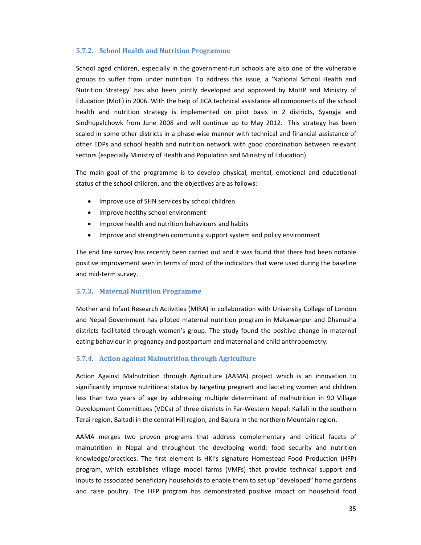### **5.7.2. School Health and Nutrition Programme**

School aged children, especially in the government-run schools are also one of the vulnerable groups to suffer from under nutrition. To address this issue, a 'National School Health and Nutrition Strategy' has also been jointly developed and approved by MoHP and Ministry of Education (MoE) in 2006. With the help of JICA technical assistance all components of the school health and nutrition strategy is implemented on pilot basis in 2 districts, Syangja and Sindhupalchowk from June 2008 and will continue up to May 2012. This strategy has been scaled in some other districts in a phase‐wise manner with technical and financial assistance of other EDPs and school health and nutrition network with good coordination between relevant sectors (especially Ministry of Health and Population and Ministry of Education).

The main goal of the programme is to develop physical, mental, emotional and educational status of the school children, and the objectives are as follows:

- Improve use of SHN services by school children
- Improve healthy school environment
- Improve health and nutrition behaviours and habits
- Improve and strengthen community support system and policy environment

The end line survey has recently been carried out and it was found that there had been notable positive improvement seen in terms of most of the indicators that were used during the baseline and mid‐term survey.

# **5.7.3. Maternal Nutrition Programme**

Mother and Infant Research Activities (MIRA) in collaboration with University College of London and Nepal Government has piloted maternal nutrition program in Makawanpur and Dhanusha districts facilitated through women's group. The study found the positive change in maternal eating behaviour in pregnancy and postpartum and maternal and child anthropometry.

#### **5.7.4. Action against Malnutrition through Agriculture**

Action Against Malnutrition through Agriculture (AAMA) project which is an innovation to significantly improve nutritional status by targeting pregnant and lactating women and children less than two years of age by addressing multiple determinant of malnutrition in 90 Village Development Committees (VDCs) of three districts in Far‐Western Nepal: Kailali in the southern Terai region, Baitadi in the central Hill region, and Bajura in the northern Mountain region.

AAMA merges two proven programs that address complementary and critical facets of malnutrition in Nepal and throughout the developing world: food security and nutrition knowledge/practices. The first element is HKI's signature Homestead Food Production (HFP) program, which establishes village model farms (VMFs) that provide technical support and inputs to associated beneficiary households to enable them to set up "developed" home gardens and raise poultry. The HFP program has demonstrated positive impact on household food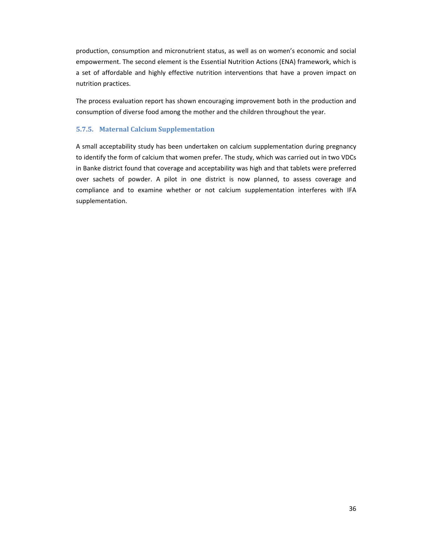production, consumption and micronutrient status, as well as on women's economic and social empowerment. The second element is the Essential Nutrition Actions (ENA) framework, which is a set of affordable and highly effective nutrition interventions that have a proven impact on nutrition practices.

The process evaluation report has shown encouraging improvement both in the production and consumption of diverse food among the mother and the children throughout the year.

### **5.7.5. Maternal Calcium Supplementation**

A small acceptability study has been undertaken on calcium supplementation during pregnancy to identify the form of calcium that women prefer. The study, which was carried out in two VDCs in Banke district found that coverage and acceptability was high and that tablets were preferred over sachets of powder. A pilot in one district is now planned, to assess coverage and compliance and to examine whether or not calcium supplementation interferes with IFA supplementation.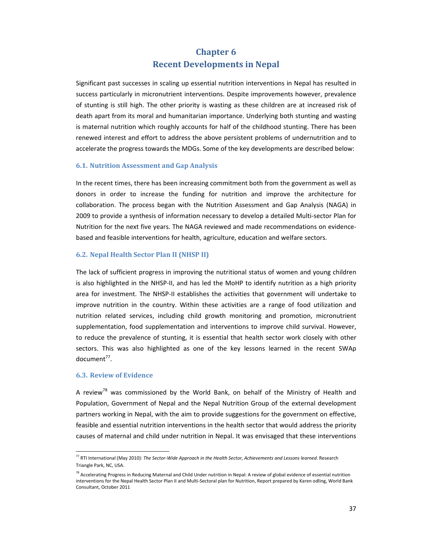# **Chapter 6 Recent Developments in Nepal**

Significant past successes in scaling up essential nutrition interventions in Nepal has resulted in success particularly in micronutrient interventions. Despite improvements however, prevalence of stunting is still high. The other priority is wasting as these children are at increased risk of death apart from its moral and humanitarian importance. Underlying both stunting and wasting is maternal nutrition which roughly accounts for half of the childhood stunting. There has been renewed interest and effort to address the above persistent problems of undernutrition and to accelerate the progress towards the MDGs. Some of the key developments are described below:

#### **6.1. Nutrition Assessment and Gap Analysis**

In the recent times, there has been increasing commitment both from the government as well as donors in order to increase the funding for nutrition and improve the architecture for collaboration. The process began with the Nutrition Assessment and Gap Analysis (NAGA) in 2009 to provide a synthesis of information necessary to develop a detailed Multi‐sector Plan for Nutrition for the next five years. The NAGA reviewed and made recommendations on evidence‐ based and feasible interventions for health, agriculture, education and welfare sectors.

#### **6.2. Nepal Health Sector Plan II (NHSP II)**

The lack of sufficient progress in improving the nutritional status of women and young children is also highlighted in the NHSP‐II, and has led the MoHP to identify nutrition as a high priority area for investment. The NHSP‐II establishes the activities that government will undertake to improve nutrition in the country. Within these activities are a range of food utilization and nutrition related services, including child growth monitoring and promotion, micronutrient supplementation, food supplementation and interventions to improve child survival. However, to reduce the prevalence of stunting, it is essential that health sector work closely with other sectors. This was also highlighted as one of the key lessons learned in the recent SWAp  $document<sup>77</sup>$ .

# **6.3. Review of Evidence**

A review<sup>78</sup> was commissioned by the World Bank, on behalf of the Ministry of Health and Population, Government of Nepal and the Nepal Nutrition Group of the external development partners working in Nepal, with the aim to provide suggestions for the government on effective, feasible and essential nutrition interventions in the health sector that would address the priority causes of maternal and child under nutrition in Nepal. It was envisaged that these interventions

<sup>77</sup> RTI International (May 2010): *The Sector‐Wide Approach in the Health Sector, Achievements and Lessons learned*. Research Triangle Park, NC, USA.

<sup>&</sup>lt;sup>78</sup> Accelerating Progress in Reducing Maternal and Child Under nutrition in Nepal: A review of global evidence of essential nutrition interventions for the Nepal Health Sector Plan II and Multi‐Sectoral plan for Nutrition, Report prepared by Karen odling, World Bank Consultant, October 2011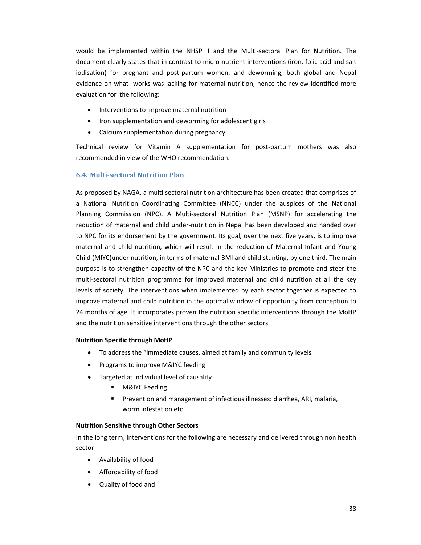would be implemented within the NHSP II and the Multi‐sectoral Plan for Nutrition. The document clearly states that in contrast to micro‐nutrient interventions (iron, folic acid and salt iodisation) for pregnant and post-partum women, and deworming, both global and Nepal evidence on what works was lacking for maternal nutrition, hence the review identified more evaluation for the following:

- Interventions to improve maternal nutrition
- Iron supplementation and deworming for adolescent girls
- Calcium supplementation during pregnancy

Technical review for Vitamin A supplementation for post‐partum mothers was also recommended in view of the WHO recommendation.

### **6.4. Multi‐sectoral Nutrition Plan**

As proposed by NAGA, a multi sectoral nutrition architecture has been created that comprises of a National Nutrition Coordinating Committee (NNCC) under the auspices of the National Planning Commission (NPC). A Multi‐sectoral Nutrition Plan (MSNP) for accelerating the reduction of maternal and child under‐nutrition in Nepal has been developed and handed over to NPC for its endorsement by the government. Its goal, over the next five years, is to improve maternal and child nutrition, which will result in the reduction of Maternal Infant and Young Child (MIYC)under nutrition, in terms of maternal BMI and child stunting, by one third. The main purpose is to strengthen capacity of the NPC and the key Ministries to promote and steer the multi‐sectoral nutrition programme for improved maternal and child nutrition at all the key levels of society. The interventions when implemented by each sector together is expected to improve maternal and child nutrition in the optimal window of opportunity from conception to 24 months of age. It incorporates proven the nutrition specific interventions through the MoHP and the nutrition sensitive interventions through the other sectors.

### **Nutrition Specific through MoHP**

- To address the "immediate causes, aimed at family and community levels
- Programs to improve M&IYC feeding
- Targeted at individual level of causality
	- M&IYC Feeding
	- **Prevention and management of infectious illnesses: diarrhea, ARI, malaria,** worm infestation etc

#### **Nutrition Sensitive through Other Sectors**

In the long term, interventions for the following are necessary and delivered through non health sector

- Availability of food
- Affordability of food
- Quality of food and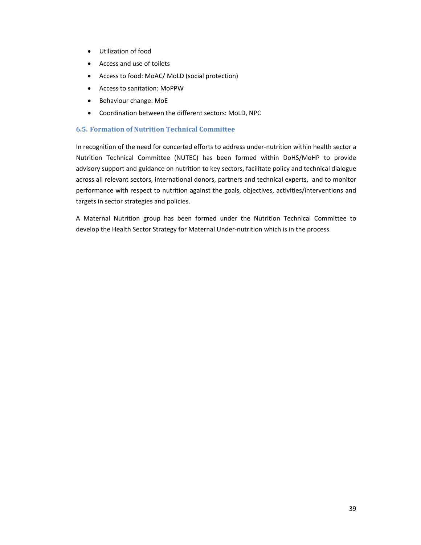- Utilization of food
- Access and use of toilets
- Access to food: MoAC/ MoLD (social protection)
- Access to sanitation: MoPPW
- Behaviour change: MoE
- Coordination between the different sectors: MoLD, NPC

# **6.5. Formation of Nutrition Technical Committee**

In recognition of the need for concerted efforts to address under‐nutrition within health sector a Nutrition Technical Committee (NUTEC) has been formed within DoHS/MoHP to provide advisory support and guidance on nutrition to key sectors, facilitate policy and technical dialogue across all relevant sectors, international donors, partners and technical experts, and to monitor performance with respect to nutrition against the goals, objectives, activities/interventions and targets in sector strategies and policies.

A Maternal Nutrition group has been formed under the Nutrition Technical Committee to develop the Health Sector Strategy for Maternal Under‐nutrition which is in the process.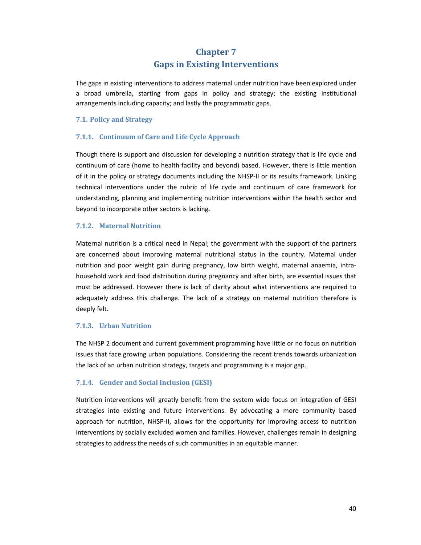# **Chapter 7 Gaps in Existing Interventions**

The gaps in existing interventions to address maternal under nutrition have been explored under a broad umbrella, starting from gaps in policy and strategy; the existing institutional arrangements including capacity; and lastly the programmatic gaps.

### **7.1. Policy and Strategy**

## **7.1.1. Continuum of Care and Life Cycle Approach**

Though there is support and discussion for developing a nutrition strategy that is life cycle and continuum of care (home to health facility and beyond) based. However, there is little mention of it in the policy or strategy documents including the NHSP‐II or its results framework. Linking technical interventions under the rubric of life cycle and continuum of care framework for understanding, planning and implementing nutrition interventions within the health sector and beyond to incorporate other sectors is lacking.

# **7.1.2. Maternal Nutrition**

Maternal nutrition is a critical need in Nepal; the government with the support of the partners are concerned about improving maternal nutritional status in the country. Maternal under nutrition and poor weight gain during pregnancy, low birth weight, maternal anaemia, intra‐ household work and food distribution during pregnancy and after birth, are essential issues that must be addressed. However there is lack of clarity about what interventions are required to adequately address this challenge. The lack of a strategy on maternal nutrition therefore is deeply felt.

### **7.1.3. Urban Nutrition**

The NHSP 2 document and current government programming have little or no focus on nutrition issues that face growing urban populations. Considering the recent trends towards urbanization the lack of an urban nutrition strategy, targets and programming is a major gap.

# **7.1.4. Gender and Social Inclusion (GESI)**

Nutrition interventions will greatly benefit from the system wide focus on integration of GESI strategies into existing and future interventions. By advocating a more community based approach for nutrition, NHSP‐II, allows for the opportunity for improving access to nutrition interventions by socially excluded women and families. However, challenges remain in designing strategies to address the needs of such communities in an equitable manner.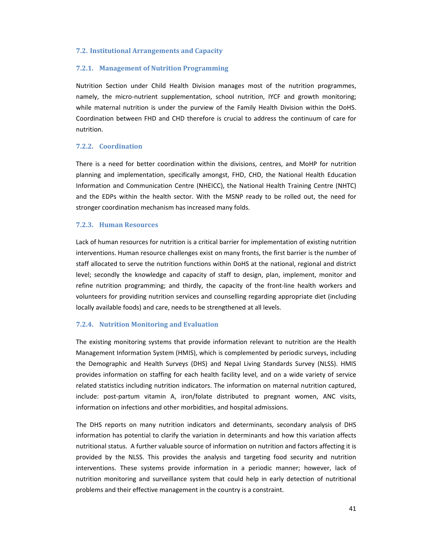#### **7.2. Institutional Arrangements and Capacity**

#### **7.2.1. Management of Nutrition Programming**

Nutrition Section under Child Health Division manages most of the nutrition programmes, namely, the micro-nutrient supplementation, school nutrition, IYCF and growth monitoring; while maternal nutrition is under the purview of the Family Health Division within the DoHS. Coordination between FHD and CHD therefore is crucial to address the continuum of care for nutrition.

#### **7.2.2. Coordination**

There is a need for better coordination within the divisions, centres, and MoHP for nutrition planning and implementation, specifically amongst, FHD, CHD, the National Health Education Information and Communication Centre (NHEICC), the National Health Training Centre (NHTC) and the EDPs within the health sector. With the MSNP ready to be rolled out, the need for stronger coordination mechanism has increased many folds.

#### **7.2.3. Human Resources**

Lack of human resources for nutrition is a critical barrier for implementation of existing nutrition interventions. Human resource challenges exist on many fronts, the first barrier is the number of staff allocated to serve the nutrition functions within DoHS at the national, regional and district level; secondly the knowledge and capacity of staff to design, plan, implement, monitor and refine nutrition programming; and thirdly, the capacity of the front-line health workers and volunteers for providing nutrition services and counselling regarding appropriate diet (including locally available foods) and care, needs to be strengthened at all levels.

### **7.2.4. Nutrition Monitoring and Evaluation**

The existing monitoring systems that provide information relevant to nutrition are the Health Management Information System (HMIS), which is complemented by periodic surveys, including the Demographic and Health Surveys (DHS) and Nepal Living Standards Survey (NLSS). HMIS provides information on staffing for each health facility level, and on a wide variety of service related statistics including nutrition indicators. The information on maternal nutrition captured, include: post-partum vitamin A, iron/folate distributed to pregnant women, ANC visits, information on infections and other morbidities, and hospital admissions.

The DHS reports on many nutrition indicators and determinants, secondary analysis of DHS information has potential to clarify the variation in determinants and how this variation affects nutritional status. A further valuable source of information on nutrition and factors affecting it is provided by the NLSS. This provides the analysis and targeting food security and nutrition interventions. These systems provide information in a periodic manner; however, lack of nutrition monitoring and surveillance system that could help in early detection of nutritional problems and their effective management in the country is a constraint.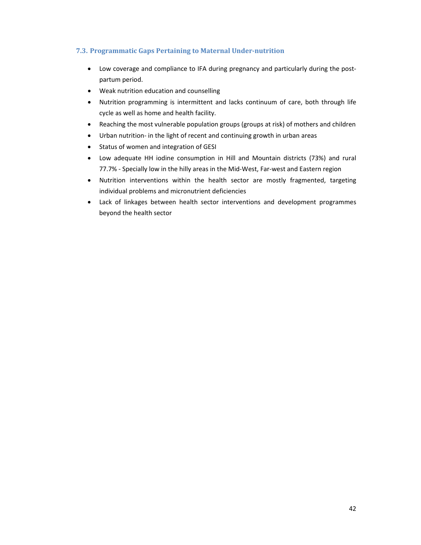# **7.3. Programmatic Gaps Pertaining to Maternal Under‐nutrition**

- Low coverage and compliance to IFA during pregnancy and particularly during the postpartum period.
- Weak nutrition education and counselling
- Nutrition programming is intermittent and lacks continuum of care, both through life cycle as well as home and health facility.
- Reaching the most vulnerable population groups (groups at risk) of mothers and children
- Urban nutrition- in the light of recent and continuing growth in urban areas
- Status of women and integration of GESI
- Low adequate HH iodine consumption in Hill and Mountain districts (73%) and rural 77.7% ‐ Specially low in the hilly areas in the Mid‐West, Far‐west and Eastern region
- Nutrition interventions within the health sector are mostly fragmented, targeting individual problems and micronutrient deficiencies
- Lack of linkages between health sector interventions and development programmes beyond the health sector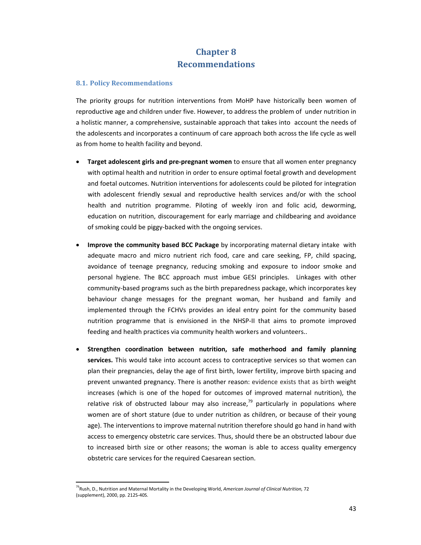# **Chapter 8 Recommendations**

### **8.1. Policy Recommendations**

The priority groups for nutrition interventions from MoHP have historically been women of reproductive age and children under five. However, to address the problem of under nutrition in a holistic manner, a comprehensive, sustainable approach that takes into account the needs of the adolescents and incorporates a continuum of care approach both across the life cycle as well as from home to health facility and beyond.

- **Target adolescent girls and pre‐pregnant women** to ensure that all women enter pregnancy with optimal health and nutrition in order to ensure optimal foetal growth and development and foetal outcomes. Nutrition interventions for adolescents could be piloted for integration with adolescent friendly sexual and reproductive health services and/or with the school health and nutrition programme. Piloting of weekly iron and folic acid, deworming, education on nutrition, discouragement for early marriage and childbearing and avoidance of smoking could be piggy‐backed with the ongoing services.
- **Improve the community based BCC Package** by incorporating maternal dietary intake with adequate macro and micro nutrient rich food, care and care seeking, FP, child spacing, avoidance of teenage pregnancy, reducing smoking and exposure to indoor smoke and personal hygiene. The BCC approach must imbue GESI principles. Linkages with other community-based programs such as the birth preparedness package, which incorporates key behaviour change messages for the pregnant woman, her husband and family and implemented through the FCHVs provides an ideal entry point for the community based nutrition programme that is envisioned in the NHSP‐II that aims to promote improved feeding and health practices via community health workers and volunteers..
- **Strengthen coordination between nutrition, safe motherhood and family planning services.** This would take into account access to contraceptive services so that women can plan their pregnancies, delay the age of first birth, lower fertility, improve birth spacing and prevent unwanted pregnancy. There is another reason: evidence exists that as birth weight increases (which is one of the hoped for outcomes of improved maternal nutrition), the relative risk of obstructed labour may also increase, $79$  particularly in populations where women are of short stature (due to under nutrition as children, or because of their young age). The interventions to improve maternal nutrition therefore should go hand in hand with access to emergency obstetric care services. Thus, should there be an obstructed labour due to increased birth size or other reasons; the woman is able to access quality emergency obstetric care services for the required Caesarean section.

<sup>79</sup>Rush, D., Nutrition and Maternal Mortality in the Developing World, *American Journal of Clinical Nutrition,* 72 (supplement), 2000, pp. 212S‐40S.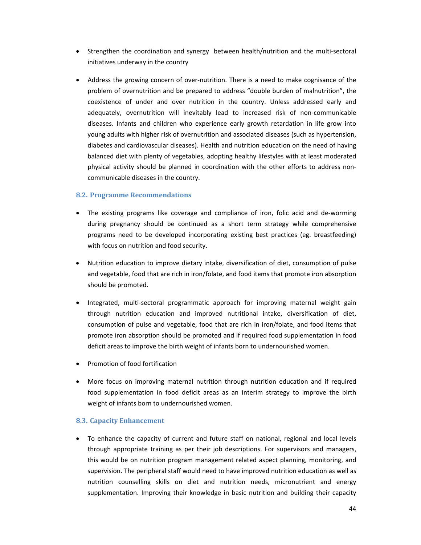- Strengthen the coordination and synergy between health/nutrition and the multi-sectoral initiatives underway in the country
- Address the growing concern of over-nutrition. There is a need to make cognisance of the problem of overnutrition and be prepared to address "double burden of malnutrition", the coexistence of under and over nutrition in the country. Unless addressed early and adequately, overnutrition will inevitably lead to increased risk of non‐communicable diseases. Infants and children who experience early growth retardation in life grow into young adults with higher risk of overnutrition and associated diseases (such as hypertension, diabetes and cardiovascular diseases). Health and nutrition education on the need of having balanced diet with plenty of vegetables, adopting healthy lifestyles with at least moderated physical activity should be planned in coordination with the other efforts to address non‐ communicable diseases in the country.

### **8.2. Programme Recommendations**

- The existing programs like coverage and compliance of iron, folic acid and de-worming during pregnancy should be continued as a short term strategy while comprehensive programs need to be developed incorporating existing best practices (eg. breastfeeding) with focus on nutrition and food security.
- Nutrition education to improve dietary intake, diversification of diet, consumption of pulse and vegetable, food that are rich in iron/folate, and food items that promote iron absorption should be promoted.
- Integrated, multi-sectoral programmatic approach for improving maternal weight gain through nutrition education and improved nutritional intake, diversification of diet, consumption of pulse and vegetable, food that are rich in iron/folate, and food items that promote iron absorption should be promoted and if required food supplementation in food deficit areas to improve the birth weight of infants born to undernourished women.
- Promotion of food fortification
- More focus on improving maternal nutrition through nutrition education and if required food supplementation in food deficit areas as an interim strategy to improve the birth weight of infants born to undernourished women.

### **8.3. Capacity Enhancement**

 To enhance the capacity of current and future staff on national, regional and local levels through appropriate training as per their job descriptions. For supervisors and managers, this would be on nutrition program management related aspect planning, monitoring, and supervision. The peripheral staff would need to have improved nutrition education as well as nutrition counselling skills on diet and nutrition needs, micronutrient and energy supplementation. Improving their knowledge in basic nutrition and building their capacity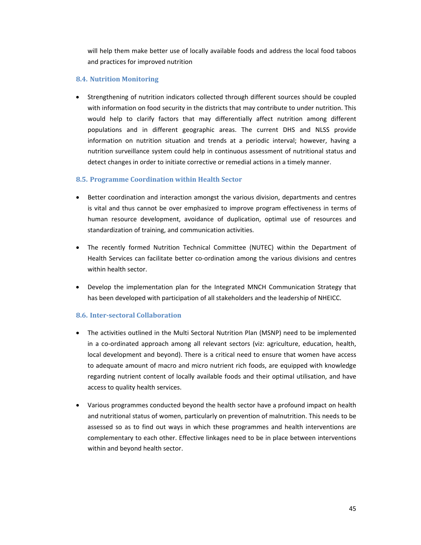will help them make better use of locally available foods and address the local food taboos and practices for improved nutrition

# **8.4. Nutrition Monitoring**

 Strengthening of nutrition indicators collected through different sources should be coupled with information on food security in the districts that may contribute to under nutrition. This would help to clarify factors that may differentially affect nutrition among different populations and in different geographic areas. The current DHS and NLSS provide information on nutrition situation and trends at a periodic interval; however, having a nutrition surveillance system could help in continuous assessment of nutritional status and detect changes in order to initiate corrective or remedial actions in a timely manner.

# **8.5. Programme Coordination within Health Sector**

- Better coordination and interaction amongst the various division, departments and centres is vital and thus cannot be over emphasized to improve program effectiveness in terms of human resource development, avoidance of duplication, optimal use of resources and standardization of training, and communication activities.
- The recently formed Nutrition Technical Committee (NUTEC) within the Department of Health Services can facilitate better co-ordination among the various divisions and centres within health sector.
- Develop the implementation plan for the Integrated MNCH Communication Strategy that has been developed with participation of all stakeholders and the leadership of NHEICC.

# **8.6. Inter‐sectoral Collaboration**

- The activities outlined in the Multi Sectoral Nutrition Plan (MSNP) need to be implemented in a co-ordinated approach among all relevant sectors (viz: agriculture, education, health, local development and beyond). There is a critical need to ensure that women have access to adequate amount of macro and micro nutrient rich foods, are equipped with knowledge regarding nutrient content of locally available foods and their optimal utilisation, and have access to quality health services.
- Various programmes conducted beyond the health sector have a profound impact on health and nutritional status of women, particularly on prevention of malnutrition. This needs to be assessed so as to find out ways in which these programmes and health interventions are complementary to each other. Effective linkages need to be in place between interventions within and beyond health sector.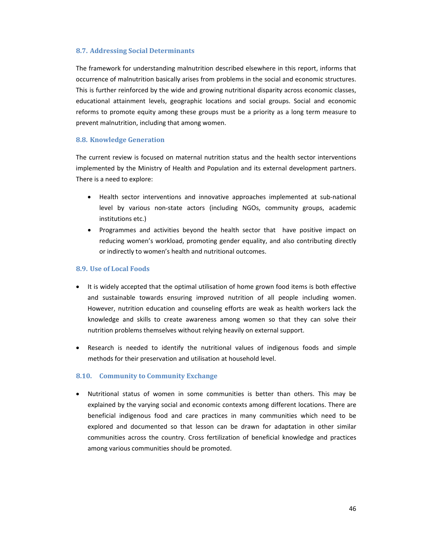#### **8.7. Addressing Social Determinants**

The framework for understanding malnutrition described elsewhere in this report, informs that occurrence of malnutrition basically arises from problems in the social and economic structures. This is further reinforced by the wide and growing nutritional disparity across economic classes, educational attainment levels, geographic locations and social groups. Social and economic reforms to promote equity among these groups must be a priority as a long term measure to prevent malnutrition, including that among women.

#### **8.8. Knowledge Generation**

The current review is focused on maternal nutrition status and the health sector interventions implemented by the Ministry of Health and Population and its external development partners. There is a need to explore:

- Health sector interventions and innovative approaches implemented at sub-national level by various non‐state actors (including NGOs, community groups, academic institutions etc.)
- Programmes and activities beyond the health sector that have positive impact on reducing women's workload, promoting gender equality, and also contributing directly or indirectly to women's health and nutritional outcomes.

#### **8.9. Use of Local Foods**

- It is widely accepted that the optimal utilisation of home grown food items is both effective and sustainable towards ensuring improved nutrition of all people including women. However, nutrition education and counseling efforts are weak as health workers lack the knowledge and skills to create awareness among women so that they can solve their nutrition problems themselves without relying heavily on external support.
- Research is needed to identify the nutritional values of indigenous foods and simple methods for their preservation and utilisation at household level.

#### **8.10. Community to Community Exchange**

 Nutritional status of women in some communities is better than others. This may be explained by the varying social and economic contexts among different locations. There are beneficial indigenous food and care practices in many communities which need to be explored and documented so that lesson can be drawn for adaptation in other similar communities across the country. Cross fertilization of beneficial knowledge and practices among various communities should be promoted.